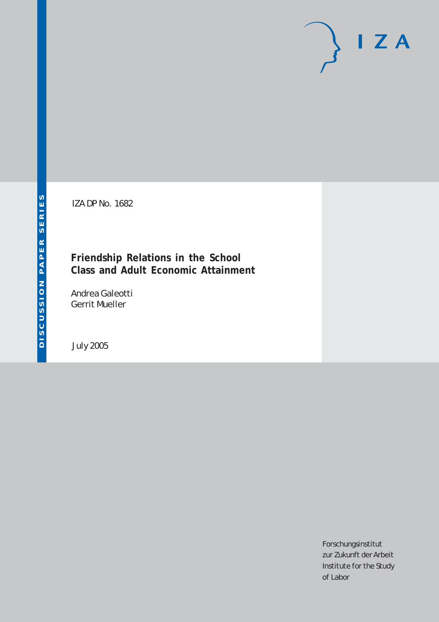# $I Z A$

IZA DP No. 1682

# **Friendship Relations in the School Class and Adult Economic Attainment**

Andrea Galeotti Gerrit Mueller

July 2005

Forschungsinstitut zur Zukunft der Arbeit Institute for the Study of Labor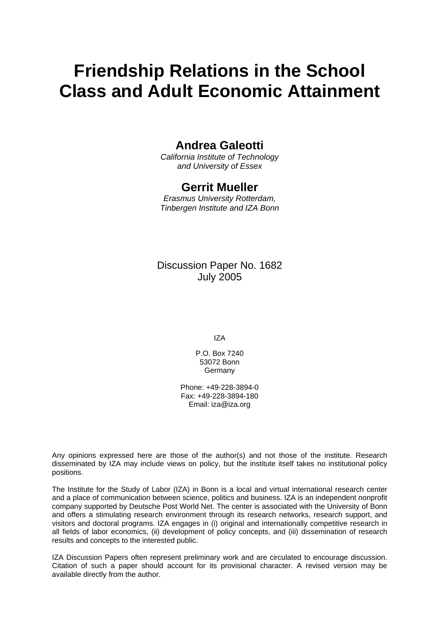# **Friendship Relations in the School Class and Adult Economic Attainment**

# **Andrea Galeotti**

*California Institute of Technology and University of Essex* 

# **Gerrit Mueller**

*Erasmus University Rotterdam, Tinbergen Institute and IZA Bonn* 

# Discussion Paper No. 1682 July 2005

IZA

P.O. Box 7240 53072 Bonn Germany

Phone: +49-228-3894-0 Fax: +49-228-3894-180 Email: [iza@iza.org](mailto:iza@iza.org)

Any opinions expressed here are those of the author(s) and not those of the institute. Research disseminated by IZA may include views on policy, but the institute itself takes no institutional policy positions.

The Institute for the Study of Labor (IZA) in Bonn is a local and virtual international research center and a place of communication between science, politics and business. IZA is an independent nonprofit company supported by Deutsche Post World Net. The center is associated with the University of Bonn and offers a stimulating research environment through its research networks, research support, and visitors and doctoral programs. IZA engages in (i) original and internationally competitive research in all fields of labor economics, (ii) development of policy concepts, and (iii) dissemination of research results and concepts to the interested public.

IZA Discussion Papers often represent preliminary work and are circulated to encourage discussion. Citation of such a paper should account for its provisional character. A revised version may be available directly from the author.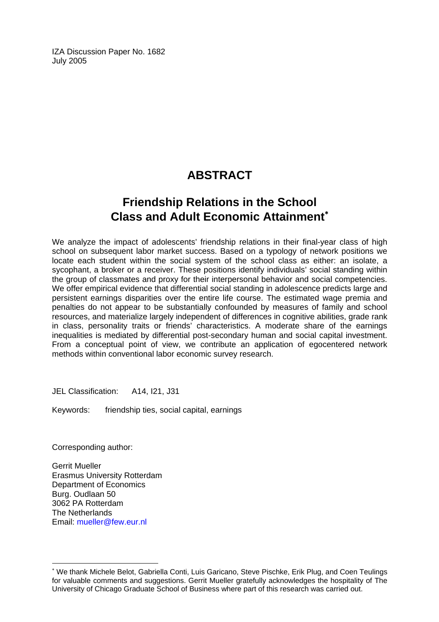IZA Discussion Paper No. 1682 July 2005

# **ABSTRACT**

# **Friendship Relations in the School Class and Adult Economic Attainment**[∗](#page-2-0)

We analyze the impact of adolescents' friendship relations in their final-year class of high school on subsequent labor market success. Based on a typology of network positions we locate each student within the social system of the school class as either: an isolate, a sycophant, a broker or a receiver. These positions identify individuals' social standing within the group of classmates and proxy for their interpersonal behavior and social competencies. We offer empirical evidence that differential social standing in adolescence predicts large and persistent earnings disparities over the entire life course. The estimated wage premia and penalties do not appear to be substantially confounded by measures of family and school resources, and materialize largely independent of differences in cognitive abilities, grade rank in class, personality traits or friends' characteristics. A moderate share of the earnings inequalities is mediated by differential post-secondary human and social capital investment. From a conceptual point of view, we contribute an application of egocentered network methods within conventional labor economic survey research.

JEL Classification: A14, I21, J31

Keywords: friendship ties, social capital, earnings

Corresponding author:

 $\overline{a}$ 

Gerrit Mueller Erasmus University Rotterdam Department of Economics Burg. Oudlaan 50 3062 PA Rotterdam The Netherlands Email: [mueller@few.eur.nl](mailto:mueller@few.eur.nl)

<span id="page-2-0"></span><sup>∗</sup> We thank Michele Belot, Gabriella Conti, Luis Garicano, Steve Pischke, Erik Plug, and Coen Teulings for valuable comments and suggestions. Gerrit Mueller gratefully acknowledges the hospitality of The University of Chicago Graduate School of Business where part of this research was carried out.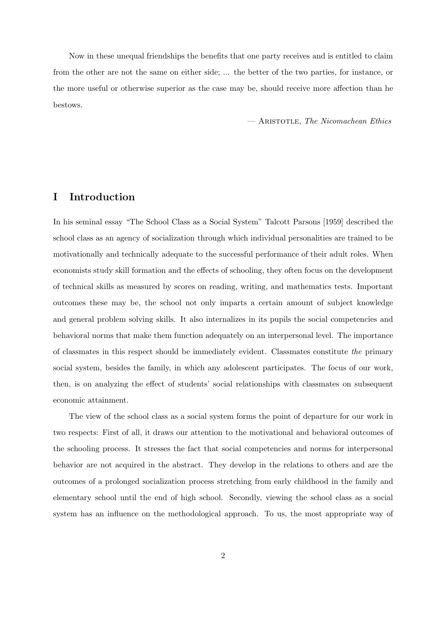Now in these unequal friendships the benefits that one party receives and is entitled to claim from the other are not the same on either side; ... the better of the two parties, for instance, or the more useful or otherwise superior as the case may be, should receive more affection than he bestows.

— Aristotle, The Nicomachean Ethics

#### I Introduction

In his seminal essay "The School Class as a Social System" Talcott Parsons [1959] described the school class as an agency of socialization through which individual personalities are trained to be motivationally and technically adequate to the successful performance of their adult roles. When economists study skill formation and the effects of schooling, they often focus on the development of technical skills as measured by scores on reading, writing, and mathematics tests. Important outcomes these may be, the school not only imparts a certain amount of subject knowledge and general problem solving skills. It also internalizes in its pupils the social competencies and behavioral norms that make them function adequately on an interpersonal level. The importance of classmates in this respect should be immediately evident. Classmates constitute the primary social system, besides the family, in which any adolescent participates. The focus of our work, then, is on analyzing the effect of students' social relationships with classmates on subsequent economic attainment.

The view of the school class as a social system forms the point of departure for our work in two respects: First of all, it draws our attention to the motivational and behavioral outcomes of the schooling process. It stresses the fact that social competencies and norms for interpersonal behavior are not acquired in the abstract. They develop in the relations to others and are the outcomes of a prolonged socialization process stretching from early childhood in the family and elementary school until the end of high school. Secondly, viewing the school class as a social system has an influence on the methodological approach. To us, the most appropriate way of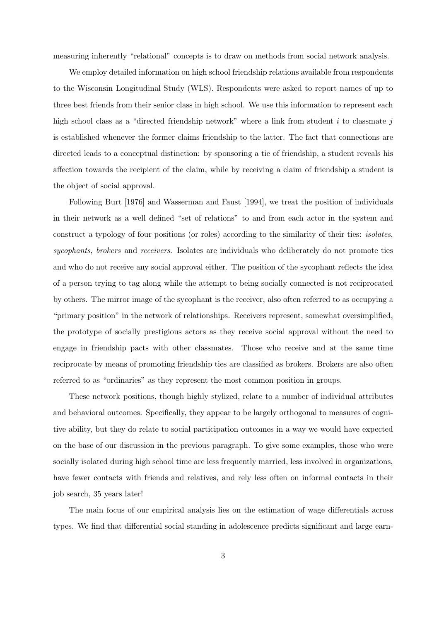measuring inherently "relational" concepts is to draw on methods from social network analysis.

We employ detailed information on high school friendship relations available from respondents to the Wisconsin Longitudinal Study (WLS). Respondents were asked to report names of up to three best friends from their senior class in high school. We use this information to represent each high school class as a "directed friendship network" where a link from student  $i$  to classmate  $j$ is established whenever the former claims friendship to the latter. The fact that connections are directed leads to a conceptual distinction: by sponsoring a tie of friendship, a student reveals his affection towards the recipient of the claim, while by receiving a claim of friendship a student is the object of social approval.

Following Burt [1976] and Wasserman and Faust [1994], we treat the position of individuals in their network as a well defined "set of relations" to and from each actor in the system and construct a typology of four positions (or roles) according to the similarity of their ties: isolates, sycophants, brokers and receivers. Isolates are individuals who deliberately do not promote ties and who do not receive any social approval either. The position of the sycophant reflects the idea of a person trying to tag along while the attempt to being socially connected is not reciprocated by others. The mirror image of the sycophant is the receiver, also often referred to as occupying a "primary position" in the network of relationships. Receivers represent, somewhat oversimplified, the prototype of socially prestigious actors as they receive social approval without the need to engage in friendship pacts with other classmates. Those who receive and at the same time reciprocate by means of promoting friendship ties are classified as brokers. Brokers are also often referred to as "ordinaries" as they represent the most common position in groups.

These network positions, though highly stylized, relate to a number of individual attributes and behavioral outcomes. Specifically, they appear to be largely orthogonal to measures of cognitive ability, but they do relate to social participation outcomes in a way we would have expected on the base of our discussion in the previous paragraph. To give some examples, those who were socially isolated during high school time are less frequently married, less involved in organizations, have fewer contacts with friends and relatives, and rely less often on informal contacts in their job search, 35 years later!

The main focus of our empirical analysis lies on the estimation of wage differentials across types. We find that differential social standing in adolescence predicts significant and large earn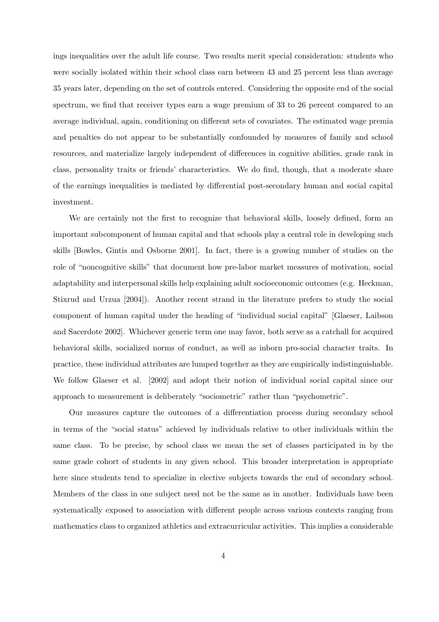ings inequalities over the adult life course. Two results merit special consideration: students who were socially isolated within their school class earn between 43 and 25 percent less than average 35 years later, depending on the set of controls entered. Considering the opposite end of the social spectrum, we find that receiver types earn a wage premium of 33 to 26 percent compared to an average individual, again, conditioning on different sets of covariates. The estimated wage premia and penalties do not appear to be substantially confounded by measures of family and school resources, and materialize largely independent of differences in cognitive abilities, grade rank in class, personality traits or friends' characteristics. We do find, though, that a moderate share of the earnings inequalities is mediated by differential post-secondary human and social capital investment.

We are certainly not the first to recognize that behavioral skills, loosely defined, form an important subcomponent of human capital and that schools play a central role in developing such skills [Bowles, Gintis and Osborne 2001]. In fact, there is a growing number of studies on the role of "noncognitive skills" that document how pre-labor market measures of motivation, social adaptability and interpersonal skills help explaining adult socioeconomic outcomes (e.g. Heckman, Stixrud and Urzua [2004]). Another recent strand in the literature prefers to study the social component of human capital under the heading of "individual social capital" [Glaeser, Laibson and Sacerdote 2002]. Whichever generic term one may favor, both serve as a catchall for acquired behavioral skills, socialized norms of conduct, as well as inborn pro-social character traits. In practice, these individual attributes are lumped together as they are empirically indistinguishable. We follow Glaeser et al. [2002] and adopt their notion of individual social capital since our approach to measurement is deliberately "sociometric" rather than "psychometric".

Our measures capture the outcomes of a differentiation process during secondary school in terms of the "social status" achieved by individuals relative to other individuals within the same class. To be precise, by school class we mean the set of classes participated in by the same grade cohort of students in any given school. This broader interpretation is appropriate here since students tend to specialize in elective subjects towards the end of secondary school. Members of the class in one subject need not be the same as in another. Individuals have been systematically exposed to association with different people across various contexts ranging from mathematics class to organized athletics and extracurricular activities. This implies a considerable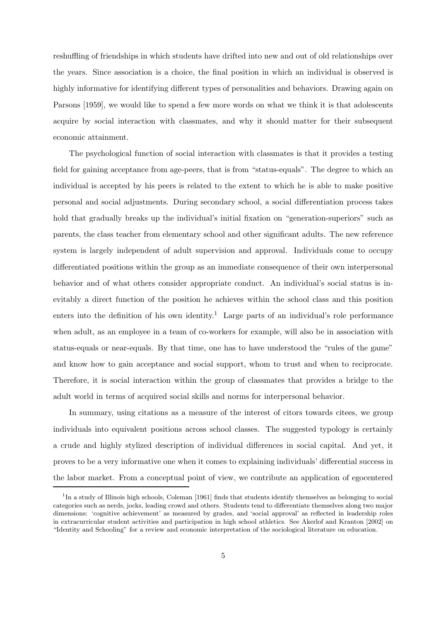reshuffling of friendships in which students have drifted into new and out of old relationships over the years. Since association is a choice, the final position in which an individual is observed is highly informative for identifying different types of personalities and behaviors. Drawing again on Parsons [1959], we would like to spend a few more words on what we think it is that adolescents acquire by social interaction with classmates, and why it should matter for their subsequent economic attainment.

The psychological function of social interaction with classmates is that it provides a testing field for gaining acceptance from age-peers, that is from "status-equals". The degree to which an individual is accepted by his peers is related to the extent to which he is able to make positive personal and social adjustments. During secondary school, a social differentiation process takes hold that gradually breaks up the individual's initial fixation on "generation-superiors" such as parents, the class teacher from elementary school and other significant adults. The new reference system is largely independent of adult supervision and approval. Individuals come to occupy differentiated positions within the group as an immediate consequence of their own interpersonal behavior and of what others consider appropriate conduct. An individual's social status is inevitably a direct function of the position he achieves within the school class and this position enters into the definition of his own identity.<sup>1</sup> Large parts of an individual's role performance when adult, as an employee in a team of co-workers for example, will also be in association with status-equals or near-equals. By that time, one has to have understood the "rules of the game" and know how to gain acceptance and social support, whom to trust and when to reciprocate. Therefore, it is social interaction within the group of classmates that provides a bridge to the adult world in terms of acquired social skills and norms for interpersonal behavior.

In summary, using citations as a measure of the interest of citors towards citees, we group individuals into equivalent positions across school classes. The suggested typology is certainly a crude and highly stylized description of individual differences in social capital. And yet, it proves to be a very informative one when it comes to explaining individuals' differential success in the labor market. From a conceptual point of view, we contribute an application of egocentered

<sup>&</sup>lt;sup>1</sup>In a study of Illinois high schools, Coleman [1961] finds that students identify themselves as belonging to social categories such as nerds, jocks, leading crowd and others. Students tend to differentiate themselves along two major dimensions: 'cognitive achievement' as measured by grades, and 'social approval' as reflected in leadership roles in extracurricular student activities and participation in high school athletics. See Akerlof and Kranton [2002] on "Identity and Schooling" for a review and economic interpretation of the sociological literature on education.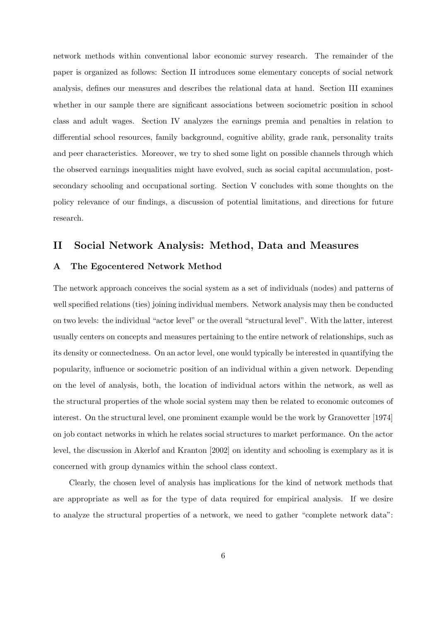network methods within conventional labor economic survey research. The remainder of the paper is organized as follows: Section II introduces some elementary concepts of social network analysis, defines our measures and describes the relational data at hand. Section III examines whether in our sample there are significant associations between sociometric position in school class and adult wages. Section IV analyzes the earnings premia and penalties in relation to differential school resources, family background, cognitive ability, grade rank, personality traits and peer characteristics. Moreover, we try to shed some light on possible channels through which the observed earnings inequalities might have evolved, such as social capital accumulation, postsecondary schooling and occupational sorting. Section V concludes with some thoughts on the policy relevance of our findings, a discussion of potential limitations, and directions for future research.

#### II Social Network Analysis: Method, Data and Measures

#### A The Egocentered Network Method

The network approach conceives the social system as a set of individuals (nodes) and patterns of well specified relations (ties) joining individual members. Network analysis may then be conducted on two levels: the individual "actor level" or the overall "structural level". With the latter, interest usually centers on concepts and measures pertaining to the entire network of relationships, such as its density or connectedness. On an actor level, one would typically be interested in quantifying the popularity, influence or sociometric position of an individual within a given network. Depending on the level of analysis, both, the location of individual actors within the network, as well as the structural properties of the whole social system may then be related to economic outcomes of interest. On the structural level, one prominent example would be the work by Granovetter [1974] on job contact networks in which he relates social structures to market performance. On the actor level, the discussion in Akerlof and Kranton [2002] on identity and schooling is exemplary as it is concerned with group dynamics within the school class context.

Clearly, the chosen level of analysis has implications for the kind of network methods that are appropriate as well as for the type of data required for empirical analysis. If we desire to analyze the structural properties of a network, we need to gather "complete network data":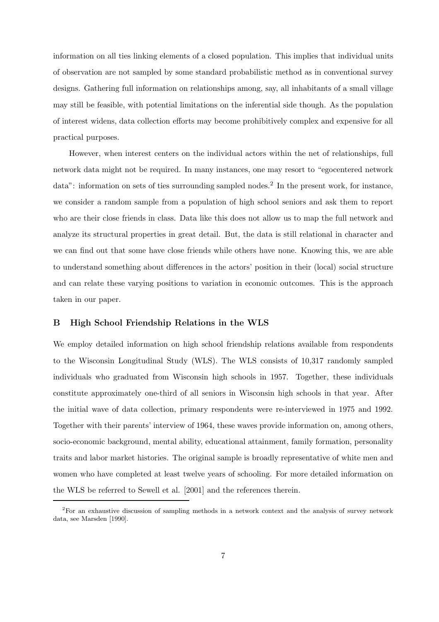information on all ties linking elements of a closed population. This implies that individual units of observation are not sampled by some standard probabilistic method as in conventional survey designs. Gathering full information on relationships among, say, all inhabitants of a small village may still be feasible, with potential limitations on the inferential side though. As the population of interest widens, data collection efforts may become prohibitively complex and expensive for all practical purposes.

However, when interest centers on the individual actors within the net of relationships, full network data might not be required. In many instances, one may resort to "egocentered network data": information on sets of ties surrounding sampled nodes.<sup>2</sup> In the present work, for instance, we consider a random sample from a population of high school seniors and ask them to report who are their close friends in class. Data like this does not allow us to map the full network and analyze its structural properties in great detail. But, the data is still relational in character and we can find out that some have close friends while others have none. Knowing this, we are able to understand something about differences in the actors' position in their (local) social structure and can relate these varying positions to variation in economic outcomes. This is the approach taken in our paper.

#### B High School Friendship Relations in the WLS

We employ detailed information on high school friendship relations available from respondents to the Wisconsin Longitudinal Study (WLS). The WLS consists of 10,317 randomly sampled individuals who graduated from Wisconsin high schools in 1957. Together, these individuals constitute approximately one-third of all seniors in Wisconsin high schools in that year. After the initial wave of data collection, primary respondents were re-interviewed in 1975 and 1992. Together with their parents' interview of 1964, these waves provide information on, among others, socio-economic background, mental ability, educational attainment, family formation, personality traits and labor market histories. The original sample is broadly representative of white men and women who have completed at least twelve years of schooling. For more detailed information on the WLS be referred to Sewell et al. [2001] and the references therein.

<sup>2</sup>For an exhaustive discussion of sampling methods in a network context and the analysis of survey network data, see Marsden [1990].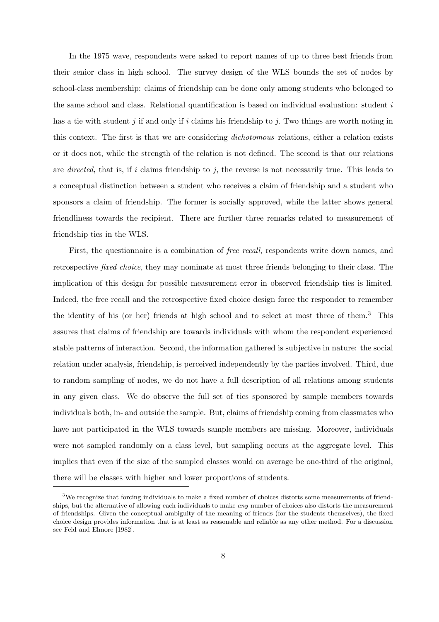In the 1975 wave, respondents were asked to report names of up to three best friends from their senior class in high school. The survey design of the WLS bounds the set of nodes by school-class membership: claims of friendship can be done only among students who belonged to the same school and class. Relational quantification is based on individual evaluation: student i has a tie with student  $j$  if and only if i claims his friendship to j. Two things are worth noting in this context. The first is that we are considering dichotomous relations, either a relation exists or it does not, while the strength of the relation is not defined. The second is that our relations are directed, that is, if i claims friendship to j, the reverse is not necessarily true. This leads to a conceptual distinction between a student who receives a claim of friendship and a student who sponsors a claim of friendship. The former is socially approved, while the latter shows general friendliness towards the recipient. There are further three remarks related to measurement of friendship ties in the WLS.

First, the questionnaire is a combination of free recall, respondents write down names, and retrospective fixed choice, they may nominate at most three friends belonging to their class. The implication of this design for possible measurement error in observed friendship ties is limited. Indeed, the free recall and the retrospective fixed choice design force the responder to remember the identity of his (or her) friends at high school and to select at most three of them.<sup>3</sup> This assures that claims of friendship are towards individuals with whom the respondent experienced stable patterns of interaction. Second, the information gathered is subjective in nature: the social relation under analysis, friendship, is perceived independently by the parties involved. Third, due to random sampling of nodes, we do not have a full description of all relations among students in any given class. We do observe the full set of ties sponsored by sample members towards individuals both, in- and outside the sample. But, claims of friendship coming from classmates who have not participated in the WLS towards sample members are missing. Moreover, individuals were not sampled randomly on a class level, but sampling occurs at the aggregate level. This implies that even if the size of the sampled classes would on average be one-third of the original, there will be classes with higher and lower proportions of students.

<sup>3</sup>We recognize that forcing individuals to make a fixed number of choices distorts some measurements of friendships, but the alternative of allowing each individuals to make any number of choices also distorts the measurement of friendships. Given the conceptual ambiguity of the meaning of friends (for the students themselves), the fixed choice design provides information that is at least as reasonable and reliable as any other method. For a discussion see Feld and Elmore [1982].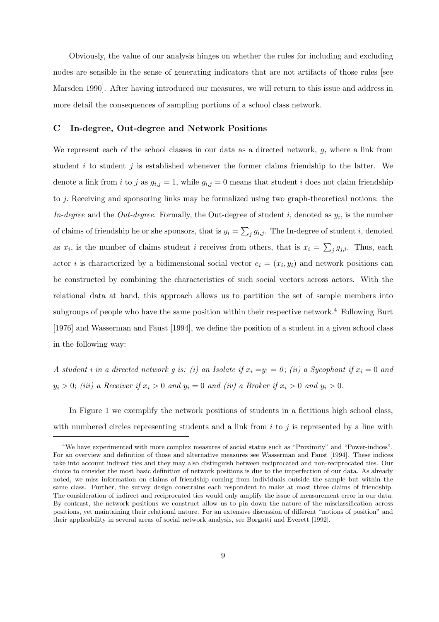Obviously, the value of our analysis hinges on whether the rules for including and excluding nodes are sensible in the sense of generating indicators that are not artifacts of those rules [see Marsden 1990]. After having introduced our measures, we will return to this issue and address in more detail the consequences of sampling portions of a school class network.

#### C In-degree, Out-degree and Network Positions

We represent each of the school classes in our data as a directed network, q, where a link from student i to student j is established whenever the former claims friendship to the latter. We denote a link from i to j as  $g_{i,j} = 1$ , while  $g_{i,j} = 0$  means that student i does not claim friendship to j. Receiving and sponsoring links may be formalized using two graph-theoretical notions: the *In-degree* and the *Out-degree*. Formally, the Out-degree of student i, denoted as  $y_i$ , is the number of claims of friendship he or she sponsors, that is  $y_i = \sum_j g_{i,j}$ . The In-degree of student i, denoted as  $x_i$ , is the number of claims student i receives from others, that is  $x_i = \sum_j g_{j,i}$ . Thus, each actor *i* is characterized by a bidimensional social vector  $e_i = (x_i, y_i)$  and network positions can be constructed by combining the characteristics of such social vectors across actors. With the relational data at hand, this approach allows us to partition the set of sample members into subgroups of people who have the same position within their respective network.<sup>4</sup> Following Burt [1976] and Wasserman and Faust [1994], we define the position of a student in a given school class in the following way:

A student i in a directed network g is: (i) an Isolate if  $x_i = y_i = 0$ ; (ii) a Sycophant if  $x_i = 0$  and  $y_i > 0$ ; (iii) a Receiver if  $x_i > 0$  and  $y_i = 0$  and (iv) a Broker if  $x_i > 0$  and  $y_i > 0$ .

In Figure 1 we exemplify the network positions of students in a fictitious high school class, with numbered circles representing students and a link from  $i$  to  $j$  is represented by a line with

<sup>4</sup>We have experimented with more complex measures of social status such as "Proximity" and "Power-indices". For an overview and definition of those and alternative measures see Wasserman and Faust [1994]. These indices take into account indirect ties and they may also distinguish between reciprocated and non-reciprocated ties. Our choice to consider the most basic definition of network positions is due to the imperfection of our data. As already noted, we miss information on claims of friendship coming from individuals outside the sample but within the same class. Further, the survey design constrains each respondent to make at most three claims of friendship. The consideration of indirect and reciprocated ties would only amplify the issue of measurement error in our data. By contrast, the network positions we construct allow us to pin down the nature of the misclassification across positions, yet maintaining their relational nature. For an extensive discussion of different "notions of position" and their applicability in several areas of social network analysis, see Borgatti and Everett [1992].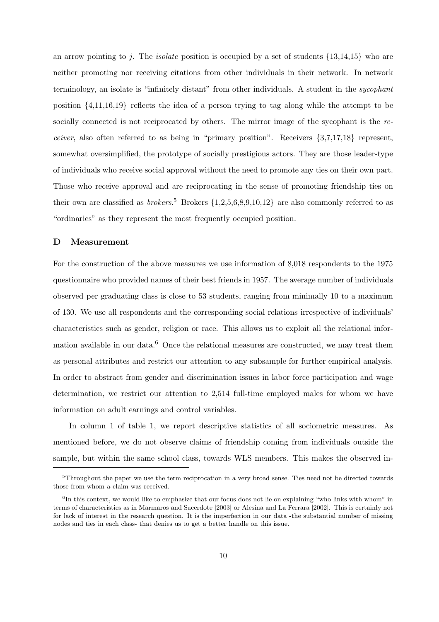an arrow pointing to j. The *isolate* position is occupied by a set of students  $\{13,14,15\}$  who are neither promoting nor receiving citations from other individuals in their network. In network terminology, an isolate is "infinitely distant" from other individuals. A student in the sycophant position  $\{4,11,16,19\}$  reflects the idea of a person trying to tag along while the attempt to be socially connected is not reciprocated by others. The mirror image of the sycophant is the receiver, also often referred to as being in "primary position". Receivers {3,7,17,18} represent, somewhat oversimplified, the prototype of socially prestigious actors. They are those leader-type of individuals who receive social approval without the need to promote any ties on their own part. Those who receive approval and are reciprocating in the sense of promoting friendship ties on their own are classified as *brokers*.<sup>5</sup> Brokers  $\{1,2,5,6,8,9,10,12\}$  are also commonly referred to as "ordinaries" as they represent the most frequently occupied position.

#### D Measurement

For the construction of the above measures we use information of 8,018 respondents to the 1975 questionnaire who provided names of their best friends in 1957. The average number of individuals observed per graduating class is close to 53 students, ranging from minimally 10 to a maximum of 130. We use all respondents and the corresponding social relations irrespective of individuals' characteristics such as gender, religion or race. This allows us to exploit all the relational information available in our data.<sup>6</sup> Once the relational measures are constructed, we may treat them as personal attributes and restrict our attention to any subsample for further empirical analysis. In order to abstract from gender and discrimination issues in labor force participation and wage determination, we restrict our attention to 2,514 full-time employed males for whom we have information on adult earnings and control variables.

In column 1 of table 1, we report descriptive statistics of all sociometric measures. As mentioned before, we do not observe claims of friendship coming from individuals outside the sample, but within the same school class, towards WLS members. This makes the observed in-

<sup>&</sup>lt;sup>5</sup>Throughout the paper we use the term reciprocation in a very broad sense. Ties need not be directed towards those from whom a claim was received.

<sup>&</sup>lt;sup>6</sup>In this context, we would like to emphasize that our focus does not lie on explaining "who links with whom" in terms of characteristics as in Marmaros and Sacerdote [2003] or Alesina and La Ferrara [2002]. This is certainly not for lack of interest in the research question. It is the imperfection in our data -the substantial number of missing nodes and ties in each class- that denies us to get a better handle on this issue.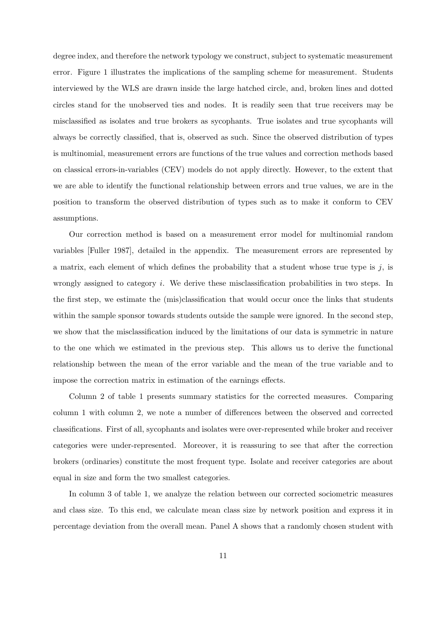degree index, and therefore the network typology we construct, subject to systematic measurement error. Figure 1 illustrates the implications of the sampling scheme for measurement. Students interviewed by the WLS are drawn inside the large hatched circle, and, broken lines and dotted circles stand for the unobserved ties and nodes. It is readily seen that true receivers may be misclassified as isolates and true brokers as sycophants. True isolates and true sycophants will always be correctly classified, that is, observed as such. Since the observed distribution of types is multinomial, measurement errors are functions of the true values and correction methods based on classical errors-in-variables (CEV) models do not apply directly. However, to the extent that we are able to identify the functional relationship between errors and true values, we are in the position to transform the observed distribution of types such as to make it conform to CEV assumptions.

Our correction method is based on a measurement error model for multinomial random variables [Fuller 1987], detailed in the appendix. The measurement errors are represented by a matrix, each element of which defines the probability that a student whose true type is  $j$ , is wrongly assigned to category i. We derive these misclassification probabilities in two steps. In the first step, we estimate the (mis)classification that would occur once the links that students within the sample sponsor towards students outside the sample were ignored. In the second step, we show that the misclassification induced by the limitations of our data is symmetric in nature to the one which we estimated in the previous step. This allows us to derive the functional relationship between the mean of the error variable and the mean of the true variable and to impose the correction matrix in estimation of the earnings effects.

Column 2 of table 1 presents summary statistics for the corrected measures. Comparing column 1 with column 2, we note a number of differences between the observed and corrected classifications. First of all, sycophants and isolates were over-represented while broker and receiver categories were under-represented. Moreover, it is reassuring to see that after the correction brokers (ordinaries) constitute the most frequent type. Isolate and receiver categories are about equal in size and form the two smallest categories.

In column 3 of table 1, we analyze the relation between our corrected sociometric measures and class size. To this end, we calculate mean class size by network position and express it in percentage deviation from the overall mean. Panel A shows that a randomly chosen student with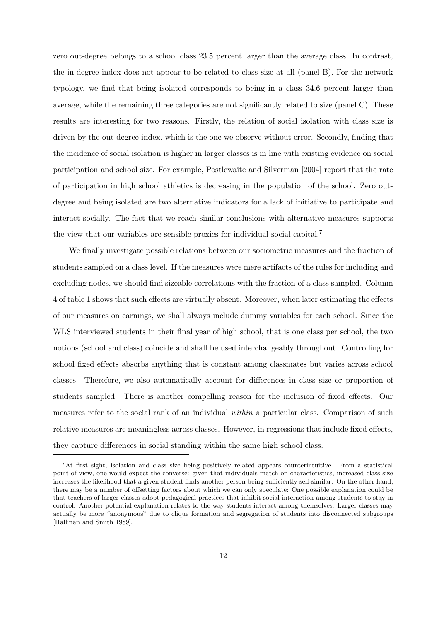zero out-degree belongs to a school class 23.5 percent larger than the average class. In contrast, the in-degree index does not appear to be related to class size at all (panel B). For the network typology, we find that being isolated corresponds to being in a class 34.6 percent larger than average, while the remaining three categories are not significantly related to size (panel C). These results are interesting for two reasons. Firstly, the relation of social isolation with class size is driven by the out-degree index, which is the one we observe without error. Secondly, finding that the incidence of social isolation is higher in larger classes is in line with existing evidence on social participation and school size. For example, Postlewaite and Silverman [2004] report that the rate of participation in high school athletics is decreasing in the population of the school. Zero outdegree and being isolated are two alternative indicators for a lack of initiative to participate and interact socially. The fact that we reach similar conclusions with alternative measures supports the view that our variables are sensible proxies for individual social capital.<sup>7</sup>

We finally investigate possible relations between our sociometric measures and the fraction of students sampled on a class level. If the measures were mere artifacts of the rules for including and excluding nodes, we should find sizeable correlations with the fraction of a class sampled. Column 4 of table 1 shows that such effects are virtually absent. Moreover, when later estimating the effects of our measures on earnings, we shall always include dummy variables for each school. Since the WLS interviewed students in their final year of high school, that is one class per school, the two notions (school and class) coincide and shall be used interchangeably throughout. Controlling for school fixed effects absorbs anything that is constant among classmates but varies across school classes. Therefore, we also automatically account for differences in class size or proportion of students sampled. There is another compelling reason for the inclusion of fixed effects. Our measures refer to the social rank of an individual within a particular class. Comparison of such relative measures are meaningless across classes. However, in regressions that include fixed effects, they capture differences in social standing within the same high school class.

<sup>7</sup>At first sight, isolation and class size being positively related appears counterintuitive. From a statistical point of view, one would expect the converse: given that individuals match on characteristics, increased class size increases the likelihood that a given student finds another person being sufficiently self-similar. On the other hand, there may be a number of offsetting factors about which we can only speculate: One possible explanation could be that teachers of larger classes adopt pedagogical practices that inhibit social interaction among students to stay in control. Another potential explanation relates to the way students interact among themselves. Larger classes may actually be more "anonymous" due to clique formation and segregation of students into disconnected subgroups [Hallinan and Smith 1989].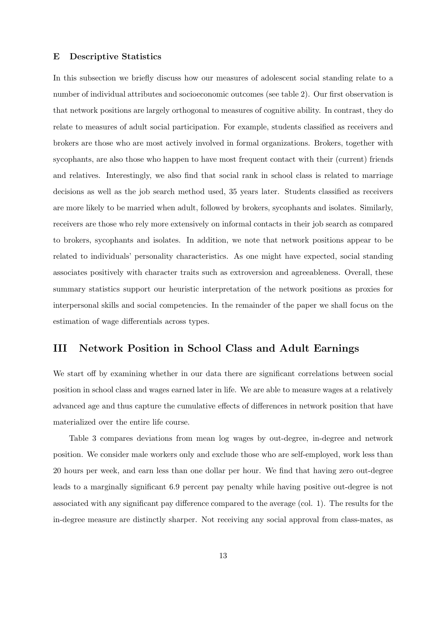#### E Descriptive Statistics

In this subsection we briefly discuss how our measures of adolescent social standing relate to a number of individual attributes and socioeconomic outcomes (see table 2). Our first observation is that network positions are largely orthogonal to measures of cognitive ability. In contrast, they do relate to measures of adult social participation. For example, students classified as receivers and brokers are those who are most actively involved in formal organizations. Brokers, together with sycophants, are also those who happen to have most frequent contact with their (current) friends and relatives. Interestingly, we also find that social rank in school class is related to marriage decisions as well as the job search method used, 35 years later. Students classified as receivers are more likely to be married when adult, followed by brokers, sycophants and isolates. Similarly, receivers are those who rely more extensively on informal contacts in their job search as compared to brokers, sycophants and isolates. In addition, we note that network positions appear to be related to individuals' personality characteristics. As one might have expected, social standing associates positively with character traits such as extroversion and agreeableness. Overall, these summary statistics support our heuristic interpretation of the network positions as proxies for interpersonal skills and social competencies. In the remainder of the paper we shall focus on the estimation of wage differentials across types.

#### III Network Position in School Class and Adult Earnings

We start off by examining whether in our data there are significant correlations between social position in school class and wages earned later in life. We are able to measure wages at a relatively advanced age and thus capture the cumulative effects of differences in network position that have materialized over the entire life course.

Table 3 compares deviations from mean log wages by out-degree, in-degree and network position. We consider male workers only and exclude those who are self-employed, work less than 20 hours per week, and earn less than one dollar per hour. We find that having zero out-degree leads to a marginally significant 6.9 percent pay penalty while having positive out-degree is not associated with any significant pay difference compared to the average (col. 1). The results for the in-degree measure are distinctly sharper. Not receiving any social approval from class-mates, as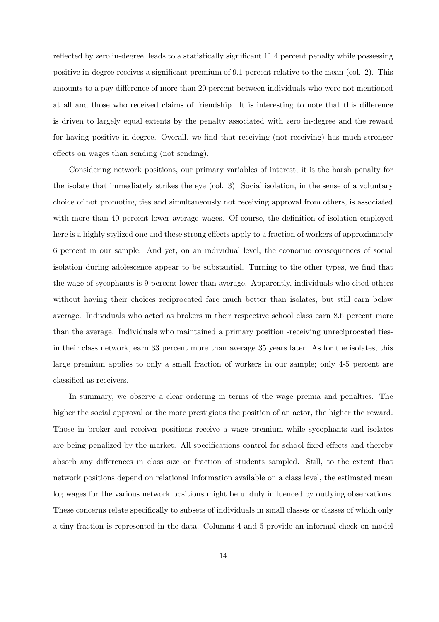reflected by zero in-degree, leads to a statistically significant 11.4 percent penalty while possessing positive in-degree receives a significant premium of 9.1 percent relative to the mean (col. 2). This amounts to a pay difference of more than 20 percent between individuals who were not mentioned at all and those who received claims of friendship. It is interesting to note that this difference is driven to largely equal extents by the penalty associated with zero in-degree and the reward for having positive in-degree. Overall, we find that receiving (not receiving) has much stronger effects on wages than sending (not sending).

Considering network positions, our primary variables of interest, it is the harsh penalty for the isolate that immediately strikes the eye (col. 3). Social isolation, in the sense of a voluntary choice of not promoting ties and simultaneously not receiving approval from others, is associated with more than 40 percent lower average wages. Of course, the definition of isolation employed here is a highly stylized one and these strong effects apply to a fraction of workers of approximately 6 percent in our sample. And yet, on an individual level, the economic consequences of social isolation during adolescence appear to be substantial. Turning to the other types, we find that the wage of sycophants is 9 percent lower than average. Apparently, individuals who cited others without having their choices reciprocated fare much better than isolates, but still earn below average. Individuals who acted as brokers in their respective school class earn 8.6 percent more than the average. Individuals who maintained a primary position -receiving unreciprocated tiesin their class network, earn 33 percent more than average 35 years later. As for the isolates, this large premium applies to only a small fraction of workers in our sample; only 4-5 percent are classified as receivers.

In summary, we observe a clear ordering in terms of the wage premia and penalties. The higher the social approval or the more prestigious the position of an actor, the higher the reward. Those in broker and receiver positions receive a wage premium while sycophants and isolates are being penalized by the market. All specifications control for school fixed effects and thereby absorb any differences in class size or fraction of students sampled. Still, to the extent that network positions depend on relational information available on a class level, the estimated mean log wages for the various network positions might be unduly influenced by outlying observations. These concerns relate specifically to subsets of individuals in small classes or classes of which only a tiny fraction is represented in the data. Columns 4 and 5 provide an informal check on model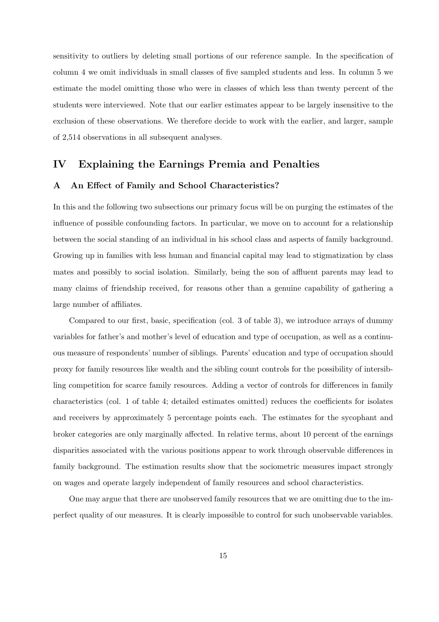sensitivity to outliers by deleting small portions of our reference sample. In the specification of column 4 we omit individuals in small classes of five sampled students and less. In column 5 we estimate the model omitting those who were in classes of which less than twenty percent of the students were interviewed. Note that our earlier estimates appear to be largely insensitive to the exclusion of these observations. We therefore decide to work with the earlier, and larger, sample of 2,514 observations in all subsequent analyses.

#### IV Explaining the Earnings Premia and Penalties

#### A An Effect of Family and School Characteristics?

In this and the following two subsections our primary focus will be on purging the estimates of the influence of possible confounding factors. In particular, we move on to account for a relationship between the social standing of an individual in his school class and aspects of family background. Growing up in families with less human and financial capital may lead to stigmatization by class mates and possibly to social isolation. Similarly, being the son of affluent parents may lead to many claims of friendship received, for reasons other than a genuine capability of gathering a large number of affiliates.

Compared to our first, basic, specification (col. 3 of table 3), we introduce arrays of dummy variables for father's and mother's level of education and type of occupation, as well as a continuous measure of respondents' number of siblings. Parents' education and type of occupation should proxy for family resources like wealth and the sibling count controls for the possibility of intersibling competition for scarce family resources. Adding a vector of controls for differences in family characteristics (col. 1 of table 4; detailed estimates omitted) reduces the coefficients for isolates and receivers by approximately 5 percentage points each. The estimates for the sycophant and broker categories are only marginally affected. In relative terms, about 10 percent of the earnings disparities associated with the various positions appear to work through observable differences in family background. The estimation results show that the sociometric measures impact strongly on wages and operate largely independent of family resources and school characteristics.

One may argue that there are unobserved family resources that we are omitting due to the imperfect quality of our measures. It is clearly impossible to control for such unobservable variables.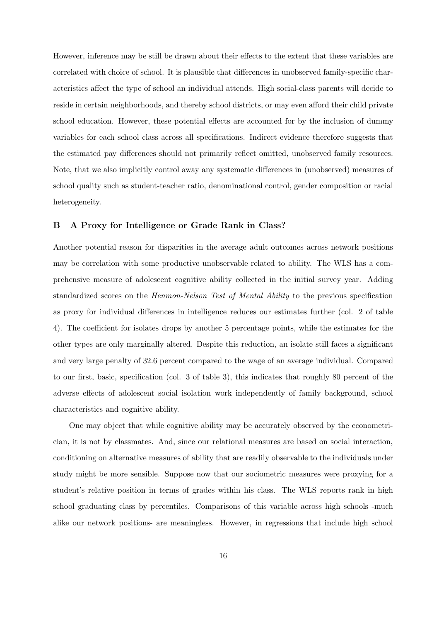However, inference may be still be drawn about their effects to the extent that these variables are correlated with choice of school. It is plausible that differences in unobserved family-specific characteristics affect the type of school an individual attends. High social-class parents will decide to reside in certain neighborhoods, and thereby school districts, or may even afford their child private school education. However, these potential effects are accounted for by the inclusion of dummy variables for each school class across all specifications. Indirect evidence therefore suggests that the estimated pay differences should not primarily reflect omitted, unobserved family resources. Note, that we also implicitly control away any systematic differences in (unobserved) measures of school quality such as student-teacher ratio, denominational control, gender composition or racial heterogeneity.

#### B A Proxy for Intelligence or Grade Rank in Class?

Another potential reason for disparities in the average adult outcomes across network positions may be correlation with some productive unobservable related to ability. The WLS has a comprehensive measure of adolescent cognitive ability collected in the initial survey year. Adding standardized scores on the Henmon-Nelson Test of Mental Ability to the previous specification as proxy for individual differences in intelligence reduces our estimates further (col. 2 of table 4). The coefficient for isolates drops by another 5 percentage points, while the estimates for the other types are only marginally altered. Despite this reduction, an isolate still faces a significant and very large penalty of 32.6 percent compared to the wage of an average individual. Compared to our first, basic, specification (col. 3 of table 3), this indicates that roughly 80 percent of the adverse effects of adolescent social isolation work independently of family background, school characteristics and cognitive ability.

One may object that while cognitive ability may be accurately observed by the econometrician, it is not by classmates. And, since our relational measures are based on social interaction, conditioning on alternative measures of ability that are readily observable to the individuals under study might be more sensible. Suppose now that our sociometric measures were proxying for a student's relative position in terms of grades within his class. The WLS reports rank in high school graduating class by percentiles. Comparisons of this variable across high schools -much alike our network positions- are meaningless. However, in regressions that include high school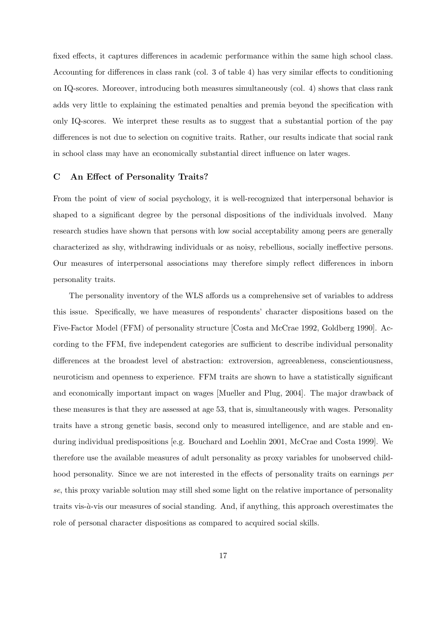fixed effects, it captures differences in academic performance within the same high school class. Accounting for differences in class rank (col. 3 of table 4) has very similar effects to conditioning on IQ-scores. Moreover, introducing both measures simultaneously (col. 4) shows that class rank adds very little to explaining the estimated penalties and premia beyond the specification with only IQ-scores. We interpret these results as to suggest that a substantial portion of the pay differences is not due to selection on cognitive traits. Rather, our results indicate that social rank in school class may have an economically substantial direct influence on later wages.

#### C An Effect of Personality Traits?

From the point of view of social psychology, it is well-recognized that interpersonal behavior is shaped to a significant degree by the personal dispositions of the individuals involved. Many research studies have shown that persons with low social acceptability among peers are generally characterized as shy, withdrawing individuals or as noisy, rebellious, socially ineffective persons. Our measures of interpersonal associations may therefore simply reflect differences in inborn personality traits.

The personality inventory of the WLS affords us a comprehensive set of variables to address this issue. Specifically, we have measures of respondents' character dispositions based on the Five-Factor Model (FFM) of personality structure [Costa and McCrae 1992, Goldberg 1990]. According to the FFM, five independent categories are sufficient to describe individual personality differences at the broadest level of abstraction: extroversion, agreeableness, conscientiousness, neuroticism and openness to experience. FFM traits are shown to have a statistically significant and economically important impact on wages [Mueller and Plug, 2004]. The major drawback of these measures is that they are assessed at age 53, that is, simultaneously with wages. Personality traits have a strong genetic basis, second only to measured intelligence, and are stable and enduring individual predispositions [e.g. Bouchard and Loehlin 2001, McCrae and Costa 1999]. We therefore use the available measures of adult personality as proxy variables for unobserved childhood personality. Since we are not interested in the effects of personality traits on earnings per se, this proxy variable solution may still shed some light on the relative importance of personality traits vis- $\dot{a}$ -vis our measures of social standing. And, if anything, this approach overestimates the role of personal character dispositions as compared to acquired social skills.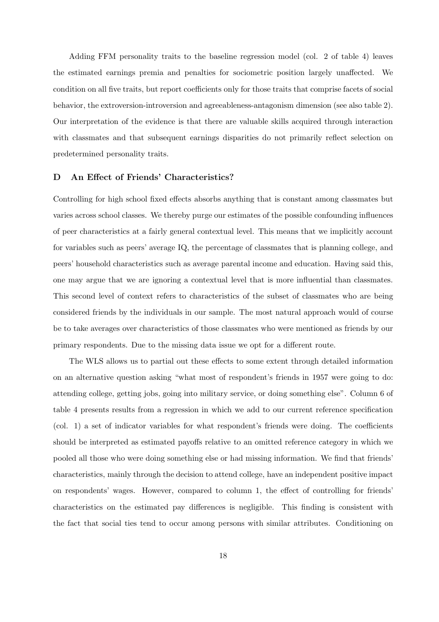Adding FFM personality traits to the baseline regression model (col. 2 of table 4) leaves the estimated earnings premia and penalties for sociometric position largely unaffected. We condition on all five traits, but report coefficients only for those traits that comprise facets of social behavior, the extroversion-introversion and agreeableness-antagonism dimension (see also table 2). Our interpretation of the evidence is that there are valuable skills acquired through interaction with classmates and that subsequent earnings disparities do not primarily reflect selection on predetermined personality traits.

#### D An Effect of Friends' Characteristics?

Controlling for high school fixed effects absorbs anything that is constant among classmates but varies across school classes. We thereby purge our estimates of the possible confounding influences of peer characteristics at a fairly general contextual level. This means that we implicitly account for variables such as peers' average IQ, the percentage of classmates that is planning college, and peers' household characteristics such as average parental income and education. Having said this, one may argue that we are ignoring a contextual level that is more influential than classmates. This second level of context refers to characteristics of the subset of classmates who are being considered friends by the individuals in our sample. The most natural approach would of course be to take averages over characteristics of those classmates who were mentioned as friends by our primary respondents. Due to the missing data issue we opt for a different route.

The WLS allows us to partial out these effects to some extent through detailed information on an alternative question asking "what most of respondent's friends in 1957 were going to do: attending college, getting jobs, going into military service, or doing something else". Column 6 of table 4 presents results from a regression in which we add to our current reference specification (col. 1) a set of indicator variables for what respondent's friends were doing. The coefficients should be interpreted as estimated payoffs relative to an omitted reference category in which we pooled all those who were doing something else or had missing information. We find that friends' characteristics, mainly through the decision to attend college, have an independent positive impact on respondents' wages. However, compared to column 1, the effect of controlling for friends' characteristics on the estimated pay differences is negligible. This finding is consistent with the fact that social ties tend to occur among persons with similar attributes. Conditioning on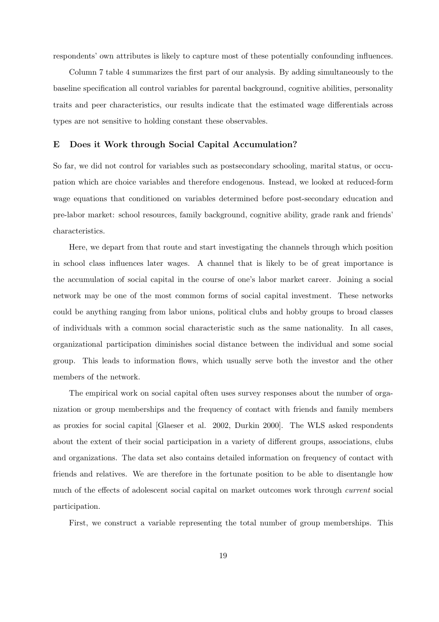respondents' own attributes is likely to capture most of these potentially confounding influences.

Column 7 table 4 summarizes the first part of our analysis. By adding simultaneously to the baseline specification all control variables for parental background, cognitive abilities, personality traits and peer characteristics, our results indicate that the estimated wage differentials across types are not sensitive to holding constant these observables.

#### E Does it Work through Social Capital Accumulation?

So far, we did not control for variables such as postsecondary schooling, marital status, or occupation which are choice variables and therefore endogenous. Instead, we looked at reduced-form wage equations that conditioned on variables determined before post-secondary education and pre-labor market: school resources, family background, cognitive ability, grade rank and friends' characteristics.

Here, we depart from that route and start investigating the channels through which position in school class influences later wages. A channel that is likely to be of great importance is the accumulation of social capital in the course of one's labor market career. Joining a social network may be one of the most common forms of social capital investment. These networks could be anything ranging from labor unions, political clubs and hobby groups to broad classes of individuals with a common social characteristic such as the same nationality. In all cases, organizational participation diminishes social distance between the individual and some social group. This leads to information flows, which usually serve both the investor and the other members of the network.

The empirical work on social capital often uses survey responses about the number of organization or group memberships and the frequency of contact with friends and family members as proxies for social capital [Glaeser et al. 2002, Durkin 2000]. The WLS asked respondents about the extent of their social participation in a variety of different groups, associations, clubs and organizations. The data set also contains detailed information on frequency of contact with friends and relatives. We are therefore in the fortunate position to be able to disentangle how much of the effects of adolescent social capital on market outcomes work through current social participation.

First, we construct a variable representing the total number of group memberships. This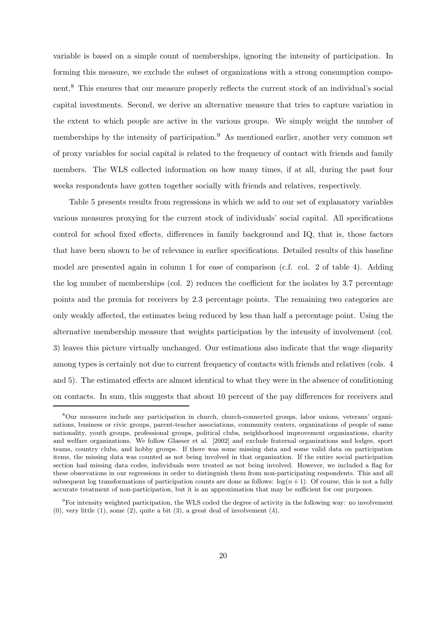variable is based on a simple count of memberships, ignoring the intensity of participation. In forming this measure, we exclude the subset of organizations with a strong consumption component.<sup>8</sup> This ensures that our measure properly reflects the current stock of an individual's social capital investments. Second, we derive an alternative measure that tries to capture variation in the extent to which people are active in the various groups. We simply weight the number of memberships by the intensity of participation.<sup>9</sup> As mentioned earlier, another very common set of proxy variables for social capital is related to the frequency of contact with friends and family members. The WLS collected information on how many times, if at all, during the past four weeks respondents have gotten together socially with friends and relatives, respectively.

Table 5 presents results from regressions in which we add to our set of explanatory variables various measures proxying for the current stock of individuals' social capital. All specifications control for school fixed effects, differences in family background and IQ, that is, those factors that have been shown to be of relevance in earlier specifications. Detailed results of this baseline model are presented again in column 1 for ease of comparison (c.f. col. 2 of table 4). Adding the log number of memberships (col. 2) reduces the coefficient for the isolates by 3.7 percentage points and the premia for receivers by 2.3 percentage points. The remaining two categories are only weakly affected, the estimates being reduced by less than half a percentage point. Using the alternative membership measure that weights participation by the intensity of involvement (col. 3) leaves this picture virtually unchanged. Our estimations also indicate that the wage disparity among types is certainly not due to current frequency of contacts with friends and relatives (cols. 4 and 5). The estimated effects are almost identical to what they were in the absence of conditioning on contacts. In sum, this suggests that about 10 percent of the pay differences for receivers and

<sup>8</sup>Our measures include any participation in church, church-connected groups, labor unions, veterans' organizations, business or civic groups, parent-teacher associations, community centers, organizations of people of same nationality, youth groups, professional groups, political clubs, neighborhood improvement organizations, charity and welfare organizations. We follow Glaeser et al. [2002] and exclude fraternal organizations and lodges, sport teams, country clubs, and hobby groups. If there was some missing data and some valid data on participation items, the missing data was counted as not being involved in that organization. If the entire social participation section had missing data codes, individuals were treated as not being involved. However, we included a flag for these observations in our regressions in order to distinguish them from non-participating respondents. This and all subsequent log transformations of participation counts are done as follows:  $\log(n + 1)$ . Of course, this is not a fully accurate treatment of non-participation, but it is an approximation that may be sufficient for our purposes.

 $9F<sup>9</sup>$  For intensity weighted participation, the WLS coded the degree of activity in the following way: no involvement  $(0)$ , very little  $(1)$ , some  $(2)$ , quite a bit  $(3)$ , a great deal of involvement  $(4)$ .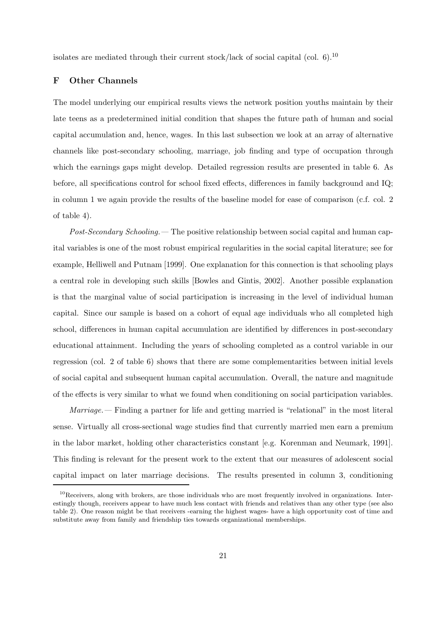isolates are mediated through their current stock/lack of social capital (col.  $6$ ).<sup>10</sup>

#### F Other Channels

The model underlying our empirical results views the network position youths maintain by their late teens as a predetermined initial condition that shapes the future path of human and social capital accumulation and, hence, wages. In this last subsection we look at an array of alternative channels like post-secondary schooling, marriage, job finding and type of occupation through which the earnings gaps might develop. Detailed regression results are presented in table 6. As before, all specifications control for school fixed effects, differences in family background and IQ; in column 1 we again provide the results of the baseline model for ease of comparison (c.f. col. 2 of table 4).

Post-Secondary Schooling.— The positive relationship between social capital and human capital variables is one of the most robust empirical regularities in the social capital literature; see for example, Helliwell and Putnam [1999]. One explanation for this connection is that schooling plays a central role in developing such skills [Bowles and Gintis, 2002]. Another possible explanation is that the marginal value of social participation is increasing in the level of individual human capital. Since our sample is based on a cohort of equal age individuals who all completed high school, differences in human capital accumulation are identified by differences in post-secondary educational attainment. Including the years of schooling completed as a control variable in our regression (col. 2 of table 6) shows that there are some complementarities between initial levels of social capital and subsequent human capital accumulation. Overall, the nature and magnitude of the effects is very similar to what we found when conditioning on social participation variables.

Marriage.— Finding a partner for life and getting married is "relational" in the most literal sense. Virtually all cross-sectional wage studies find that currently married men earn a premium in the labor market, holding other characteristics constant [e.g. Korenman and Neumark, 1991]. This finding is relevant for the present work to the extent that our measures of adolescent social capital impact on later marriage decisions. The results presented in column 3, conditioning

 $10$ Receivers, along with brokers, are those individuals who are most frequently involved in organizations. Interestingly though, receivers appear to have much less contact with friends and relatives than any other type (see also table 2). One reason might be that receivers -earning the highest wages- have a high opportunity cost of time and substitute away from family and friendship ties towards organizational memberships.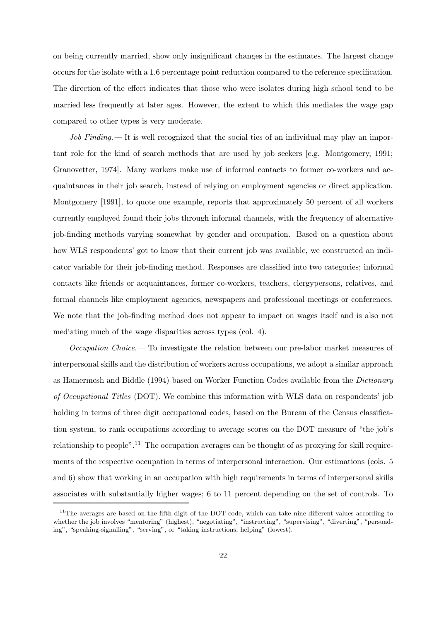on being currently married, show only insignificant changes in the estimates. The largest change occurs for the isolate with a 1.6 percentage point reduction compared to the reference specification. The direction of the effect indicates that those who were isolates during high school tend to be married less frequently at later ages. However, the extent to which this mediates the wage gap compared to other types is very moderate.

Job Finding.— It is well recognized that the social ties of an individual may play an important role for the kind of search methods that are used by job seekers [e.g. Montgomery, 1991; Granovetter, 1974]. Many workers make use of informal contacts to former co-workers and acquaintances in their job search, instead of relying on employment agencies or direct application. Montgomery [1991], to quote one example, reports that approximately 50 percent of all workers currently employed found their jobs through informal channels, with the frequency of alternative job-finding methods varying somewhat by gender and occupation. Based on a question about how WLS respondents' got to know that their current job was available, we constructed an indicator variable for their job-finding method. Responses are classified into two categories; informal contacts like friends or acquaintances, former co-workers, teachers, clergypersons, relatives, and formal channels like employment agencies, newspapers and professional meetings or conferences. We note that the job-finding method does not appear to impact on wages itself and is also not mediating much of the wage disparities across types (col. 4).

Occupation Choice.— To investigate the relation between our pre-labor market measures of interpersonal skills and the distribution of workers across occupations, we adopt a similar approach as Hamermesh and Biddle (1994) based on Worker Function Codes available from the Dictionary of Occupational Titles (DOT). We combine this information with WLS data on respondents' job holding in terms of three digit occupational codes, based on the Bureau of the Census classification system, to rank occupations according to average scores on the DOT measure of "the job's relationship to people".<sup>11</sup> The occupation averages can be thought of as proxying for skill requirements of the respective occupation in terms of interpersonal interaction. Our estimations (cols. 5 and 6) show that working in an occupation with high requirements in terms of interpersonal skills associates with substantially higher wages; 6 to 11 percent depending on the set of controls. To

 $11$ The averages are based on the fifth digit of the DOT code, which can take nine different values according to whether the job involves "mentoring" (highest), "negotiating", "instructing", "supervising", "diverting", "persuading", "speaking-signalling", "serving", or "taking instructions, helping" (lowest).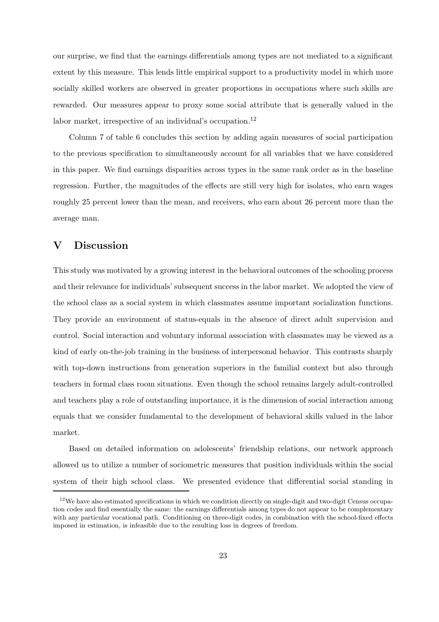our surprise, we find that the earnings differentials among types are not mediated to a significant extent by this measure. This lends little empirical support to a productivity model in which more socially skilled workers are observed in greater proportions in occupations where such skills are rewarded. Our measures appear to proxy some social attribute that is generally valued in the labor market, irrespective of an individual's occupation.<sup>12</sup>

Column 7 of table 6 concludes this section by adding again measures of social participation to the previous specification to simultaneously account for all variables that we have considered in this paper. We find earnings disparities across types in the same rank order as in the baseline regression. Further, the magnitudes of the effects are still very high for isolates, who earn wages roughly 25 percent lower than the mean, and receivers, who earn about 26 percent more than the average man.

#### V Discussion

This study was motivated by a growing interest in the behavioral outcomes of the schooling process and their relevance for individuals' subsequent success in the labor market. We adopted the view of the school class as a social system in which classmates assume important socialization functions. They provide an environment of status-equals in the absence of direct adult supervision and control. Social interaction and voluntary informal association with classmates may be viewed as a kind of early on-the-job training in the business of interpersonal behavior. This contrasts sharply with top-down instructions from generation superiors in the familial context but also through teachers in formal class room situations. Even though the school remains largely adult-controlled and teachers play a role of outstanding importance, it is the dimension of social interaction among equals that we consider fundamental to the development of behavioral skills valued in the labor market.

Based on detailed information on adolescents' friendship relations, our network approach allowed us to utilize a number of sociometric measures that position individuals within the social system of their high school class. We presented evidence that differential social standing in

<sup>&</sup>lt;sup>12</sup>We have also estimated specifications in which we condition directly on single-digit and two-digit Census occupation codes and find essentially the same: the earnings differentials among types do not appear to be complementary with any particular vocational path. Conditioning on three-digit codes, in combination with the school-fixed effects imposed in estimation, is infeasible due to the resulting loss in degrees of freedom.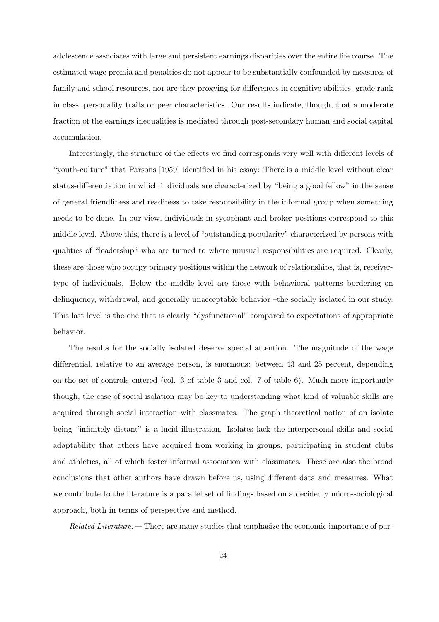adolescence associates with large and persistent earnings disparities over the entire life course. The estimated wage premia and penalties do not appear to be substantially confounded by measures of family and school resources, nor are they proxying for differences in cognitive abilities, grade rank in class, personality traits or peer characteristics. Our results indicate, though, that a moderate fraction of the earnings inequalities is mediated through post-secondary human and social capital accumulation.

Interestingly, the structure of the effects we find corresponds very well with different levels of "youth-culture" that Parsons [1959] identified in his essay: There is a middle level without clear status-differentiation in which individuals are characterized by "being a good fellow" in the sense of general friendliness and readiness to take responsibility in the informal group when something needs to be done. In our view, individuals in sycophant and broker positions correspond to this middle level. Above this, there is a level of "outstanding popularity" characterized by persons with qualities of "leadership" who are turned to where unusual responsibilities are required. Clearly, these are those who occupy primary positions within the network of relationships, that is, receivertype of individuals. Below the middle level are those with behavioral patterns bordering on delinquency, withdrawal, and generally unacceptable behavior –the socially isolated in our study. This last level is the one that is clearly "dysfunctional" compared to expectations of appropriate behavior.

The results for the socially isolated deserve special attention. The magnitude of the wage differential, relative to an average person, is enormous: between 43 and 25 percent, depending on the set of controls entered (col. 3 of table 3 and col. 7 of table 6). Much more importantly though, the case of social isolation may be key to understanding what kind of valuable skills are acquired through social interaction with classmates. The graph theoretical notion of an isolate being "infinitely distant" is a lucid illustration. Isolates lack the interpersonal skills and social adaptability that others have acquired from working in groups, participating in student clubs and athletics, all of which foster informal association with classmates. These are also the broad conclusions that other authors have drawn before us, using different data and measures. What we contribute to the literature is a parallel set of findings based on a decidedly micro-sociological approach, both in terms of perspective and method.

Related Literature.— There are many studies that emphasize the economic importance of par-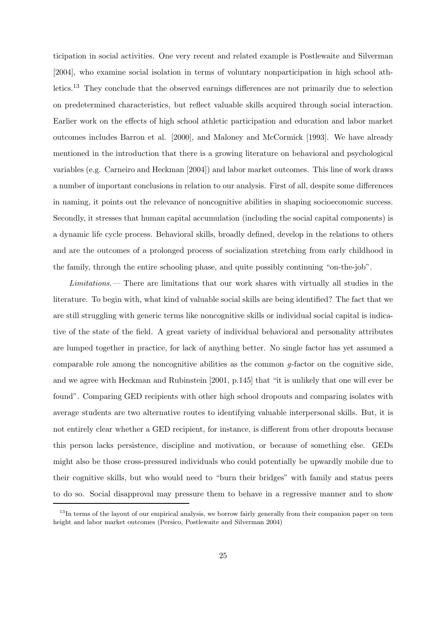ticipation in social activities. One very recent and related example is Postlewaite and Silverman [2004], who examine social isolation in terms of voluntary nonparticipation in high school athletics.<sup>13</sup> They conclude that the observed earnings differences are not primarily due to selection on predetermined characteristics, but reflect valuable skills acquired through social interaction. Earlier work on the effects of high school athletic participation and education and labor market outcomes includes Barron et al. [2000], and Maloney and McCormick [1993]. We have already mentioned in the introduction that there is a growing literature on behavioral and psychological variables (e.g. Carneiro and Heckman [2004]) and labor market outcomes. This line of work draws a number of important conclusions in relation to our analysis. First of all, despite some differences in naming, it points out the relevance of noncognitive abilities in shaping socioeconomic success. Secondly, it stresses that human capital accumulation (including the social capital components) is a dynamic life cycle process. Behavioral skills, broadly defined, develop in the relations to others and are the outcomes of a prolonged process of socialization stretching from early childhood in the family, through the entire schooling phase, and quite possibly continuing "on-the-job".

Limitations.— There are limitations that our work shares with virtually all studies in the literature. To begin with, what kind of valuable social skills are being identified? The fact that we are still struggling with generic terms like noncognitive skills or individual social capital is indicative of the state of the field. A great variety of individual behavioral and personality attributes are lumped together in practice, for lack of anything better. No single factor has yet assumed a comparable role among the noncognitive abilities as the common  $q$ -factor on the cognitive side, and we agree with Heckman and Rubinstein [2001, p.145] that "it is unlikely that one will ever be found". Comparing GED recipients with other high school dropouts and comparing isolates with average students are two alternative routes to identifying valuable interpersonal skills. But, it is not entirely clear whether a GED recipient, for instance, is different from other dropouts because this person lacks persistence, discipline and motivation, or because of something else. GEDs might also be those cross-pressured individuals who could potentially be upwardly mobile due to their cognitive skills, but who would need to "burn their bridges" with family and status peers to do so. Social disapproval may pressure them to behave in a regressive manner and to show

 $13$ In terms of the layout of our empirical analysis, we borrow fairly generally from their companion paper on teen height and labor market outcomes (Persico, Postlewaite and Silverman 2004)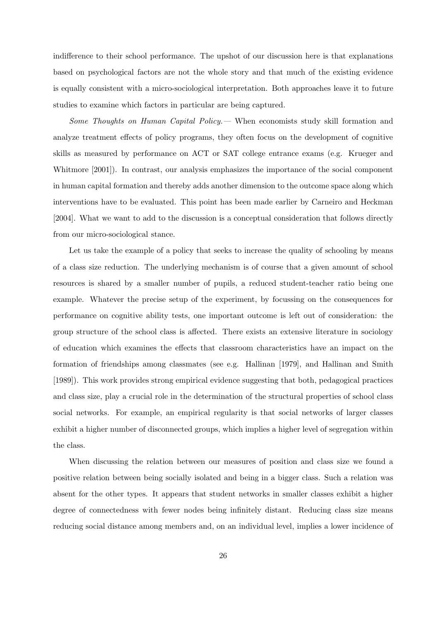indifference to their school performance. The upshot of our discussion here is that explanations based on psychological factors are not the whole story and that much of the existing evidence is equally consistent with a micro-sociological interpretation. Both approaches leave it to future studies to examine which factors in particular are being captured.

Some Thoughts on Human Capital Policy.— When economists study skill formation and analyze treatment effects of policy programs, they often focus on the development of cognitive skills as measured by performance on ACT or SAT college entrance exams (e.g. Krueger and Whitmore [2001]). In contrast, our analysis emphasizes the importance of the social component in human capital formation and thereby adds another dimension to the outcome space along which interventions have to be evaluated. This point has been made earlier by Carneiro and Heckman [2004]. What we want to add to the discussion is a conceptual consideration that follows directly from our micro-sociological stance.

Let us take the example of a policy that seeks to increase the quality of schooling by means of a class size reduction. The underlying mechanism is of course that a given amount of school resources is shared by a smaller number of pupils, a reduced student-teacher ratio being one example. Whatever the precise setup of the experiment, by focussing on the consequences for performance on cognitive ability tests, one important outcome is left out of consideration: the group structure of the school class is affected. There exists an extensive literature in sociology of education which examines the effects that classroom characteristics have an impact on the formation of friendships among classmates (see e.g. Hallinan [1979], and Hallinan and Smith [1989]). This work provides strong empirical evidence suggesting that both, pedagogical practices and class size, play a crucial role in the determination of the structural properties of school class social networks. For example, an empirical regularity is that social networks of larger classes exhibit a higher number of disconnected groups, which implies a higher level of segregation within the class.

When discussing the relation between our measures of position and class size we found a positive relation between being socially isolated and being in a bigger class. Such a relation was absent for the other types. It appears that student networks in smaller classes exhibit a higher degree of connectedness with fewer nodes being infinitely distant. Reducing class size means reducing social distance among members and, on an individual level, implies a lower incidence of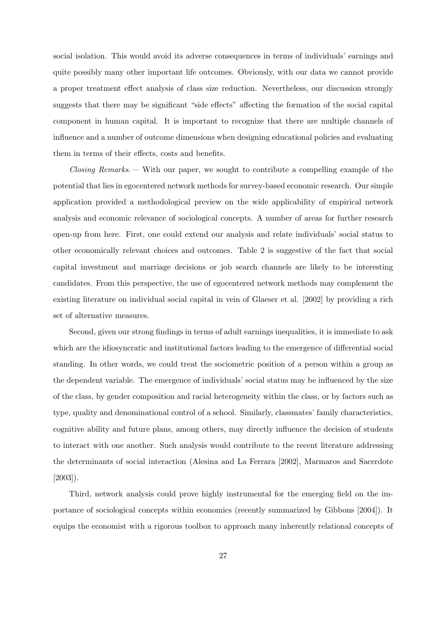social isolation. This would avoid its adverse consequences in terms of individuals' earnings and quite possibly many other important life outcomes. Obviously, with our data we cannot provide a proper treatment effect analysis of class size reduction. Nevertheless, our discussion strongly suggests that there may be significant "side effects" affecting the formation of the social capital component in human capital. It is important to recognize that there are multiple channels of influence and a number of outcome dimensions when designing educational policies and evaluating them in terms of their effects, costs and benefits.

Closing Remarks.— With our paper, we sought to contribute a compelling example of the potential that lies in egocentered network methods for survey-based economic research. Our simple application provided a methodological preview on the wide applicability of empirical network analysis and economic relevance of sociological concepts. A number of areas for further research open-up from here. First, one could extend our analysis and relate individuals' social status to other economically relevant choices and outcomes. Table 2 is suggestive of the fact that social capital investment and marriage decisions or job search channels are likely to be interesting candidates. From this perspective, the use of egocentered network methods may complement the existing literature on individual social capital in vein of Glaeser et al. [2002] by providing a rich set of alternative measures.

Second, given our strong findings in terms of adult earnings inequalities, it is immediate to ask which are the idiosyncratic and institutional factors leading to the emergence of differential social standing. In other words, we could treat the sociometric position of a person within a group as the dependent variable. The emergence of individuals' social status may be influenced by the size of the class, by gender composition and racial heterogeneity within the class, or by factors such as type, quality and denominational control of a school. Similarly, classmates' family characteristics, cognitive ability and future plans, among others, may directly influence the decision of students to interact with one another. Such analysis would contribute to the recent literature addressing the determinants of social interaction (Alesina and La Ferrara [2002], Marmaros and Sacerdote [2003]).

Third, network analysis could prove highly instrumental for the emerging field on the importance of sociological concepts within economics (recently summarized by Gibbons [2004]). It equips the economist with a rigorous toolbox to approach many inherently relational concepts of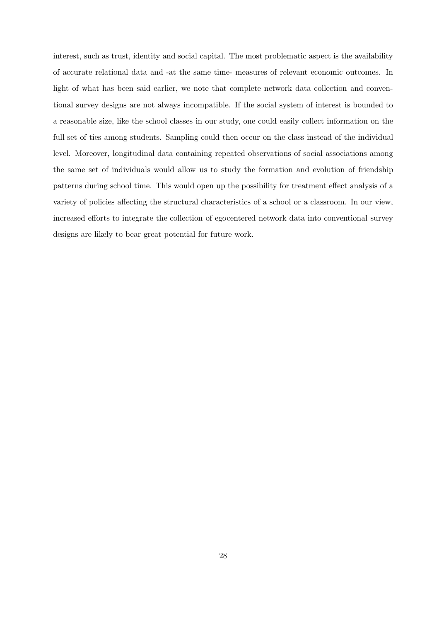interest, such as trust, identity and social capital. The most problematic aspect is the availability of accurate relational data and -at the same time- measures of relevant economic outcomes. In light of what has been said earlier, we note that complete network data collection and conventional survey designs are not always incompatible. If the social system of interest is bounded to a reasonable size, like the school classes in our study, one could easily collect information on the full set of ties among students. Sampling could then occur on the class instead of the individual level. Moreover, longitudinal data containing repeated observations of social associations among the same set of individuals would allow us to study the formation and evolution of friendship patterns during school time. This would open up the possibility for treatment effect analysis of a variety of policies affecting the structural characteristics of a school or a classroom. In our view, increased efforts to integrate the collection of egocentered network data into conventional survey designs are likely to bear great potential for future work.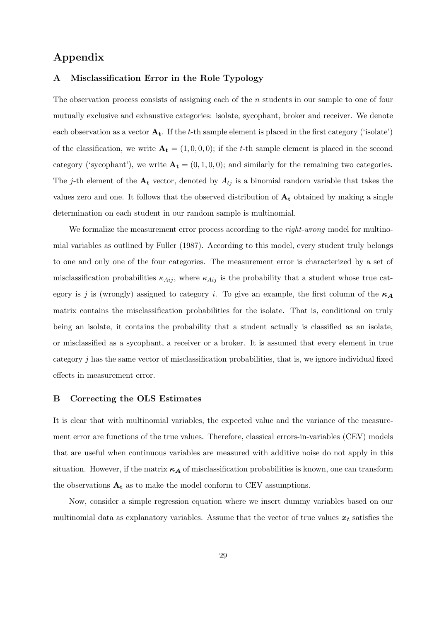### Appendix

#### A Misclassification Error in the Role Typology

The observation process consists of assigning each of the *n* students in our sample to one of four mutually exclusive and exhaustive categories: isolate, sycophant, broker and receiver. We denote each observation as a vector  $A_t$ . If the t-th sample element is placed in the first category ('isolate') of the classification, we write  $\mathbf{A_t} = (1, 0, 0, 0)$ ; if the t-th sample element is placed in the second category ('sycophant'), we write  $\mathbf{A_t} = (0, 1, 0, 0)$ ; and similarly for the remaining two categories. The j-th element of the  $A_t$  vector, denoted by  $A_{tj}$  is a binomial random variable that takes the values zero and one. It follows that the observed distribution of  $A_t$  obtained by making a single determination on each student in our random sample is multinomial.

We formalize the measurement error process according to the *right-wrong* model for multinomial variables as outlined by Fuller (1987). According to this model, every student truly belongs to one and only one of the four categories. The measurement error is characterized by a set of misclassification probabilities  $\kappa_{Aij}$ , where  $\kappa_{Aij}$  is the probability that a student whose true category is j is (wrongly) assigned to category i. To give an example, the first column of the  $\kappa_A$ matrix contains the misclassification probabilities for the isolate. That is, conditional on truly being an isolate, it contains the probability that a student actually is classified as an isolate, or misclassified as a sycophant, a receiver or a broker. It is assumed that every element in true category  $j$  has the same vector of misclassification probabilities, that is, we ignore individual fixed effects in measurement error.

#### B Correcting the OLS Estimates

It is clear that with multinomial variables, the expected value and the variance of the measurement error are functions of the true values. Therefore, classical errors-in-variables (CEV) models that are useful when continuous variables are measured with additive noise do not apply in this situation. However, if the matrix  $\kappa_A$  of misclassification probabilities is known, one can transform the observations  $A_t$  as to make the model conform to CEV assumptions.

Now, consider a simple regression equation where we insert dummy variables based on our multinomial data as explanatory variables. Assume that the vector of true values  $x_t$  satisfies the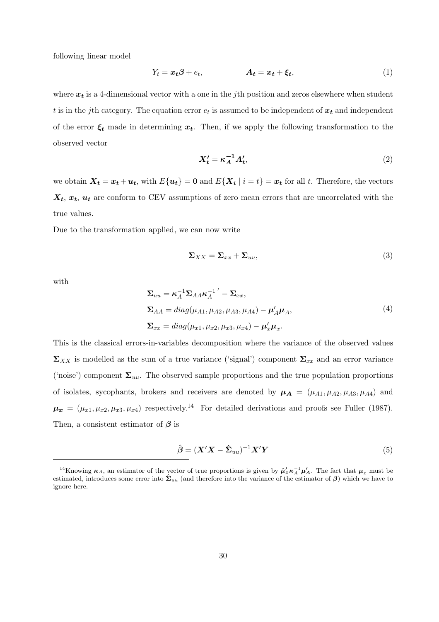following linear model

$$
Y_t = x_t \beta + e_t, \qquad A_t = x_t + \xi_t, \qquad (1)
$$

where  $x_t$  is a 4-dimensional vector with a one in the *j*th position and zeros elsewhere when student t is in the j<sup>th</sup> category. The equation error  $e_t$  is assumed to be independent of  $x_t$  and independent of the error  $\xi_t$  made in determining  $x_t$ . Then, if we apply the following transformation to the observed vector

$$
X_t' = \kappa_A^{-1} A_t',\tag{2}
$$

we obtain  $\mathbf{X}_t = \mathbf{x}_t + \mathbf{u}_t$ , with  $E\{\mathbf{u}_t\} = \mathbf{0}$  and  $E\{\mathbf{X}_i \mid i = t\} = \mathbf{x}_t$  for all t. Therefore, the vectors  $X_t$ ,  $x_t$ ,  $u_t$  are conform to CEV assumptions of zero mean errors that are uncorrelated with the true values.

Due to the transformation applied, we can now write

$$
\Sigma_{XX} = \Sigma_{xx} + \Sigma_{uu},\tag{3}
$$

with

$$
\Sigma_{uu} = \kappa_A^{-1} \Sigma_{AA} \kappa_A^{-1}{}' - \Sigma_{xx},
$$
  
\n
$$
\Sigma_{AA} = diag(\mu_{A1}, \mu_{A2}, \mu_{A3}, \mu_{A4}) - \mu'_A \mu_A,
$$
  
\n
$$
\Sigma_{xx} = diag(\mu_{x1}, \mu_{x2}, \mu_{x3}, \mu_{x4}) - \mu'_x \mu_x.
$$
\n(4)

This is the classical errors-in-variables decomposition where the variance of the observed values  $\Sigma_{XX}$  is modelled as the sum of a true variance ('signal') component  $\Sigma_{xx}$  and an error variance ('noise') component  $\Sigma_{uu}$ . The observed sample proportions and the true population proportions of isolates, sycophants, brokers and receivers are denoted by  $\mu_A = (\mu_{A1}, \mu_{A2}, \mu_{A3}, \mu_{A4})$  and  $\mu_x = (\mu_{x1}, \mu_{x2}, \mu_{x3}, \mu_{x4})$  respectively.<sup>14</sup> For detailed derivations and proofs see Fuller (1987). Then, a consistent estimator of  $\beta$  is

$$
\hat{\boldsymbol{\beta}} = (\boldsymbol{X}'\boldsymbol{X} - \hat{\boldsymbol{\Sigma}}_{uu})^{-1}\boldsymbol{X}'\boldsymbol{Y}
$$
\n(5)

<sup>&</sup>lt;sup>14</sup>Knowing  $\kappa_A$ , an estimator of the vector of true proportions is given by  $\hat{\mu}'_{x} \kappa_A^{-1} \mu'_A$ . The fact that  $\mu_x$  must be estimated, introduces some error into  $\hat{\Sigma}_{uu}$  (and therefore into the variance of the est ignore here.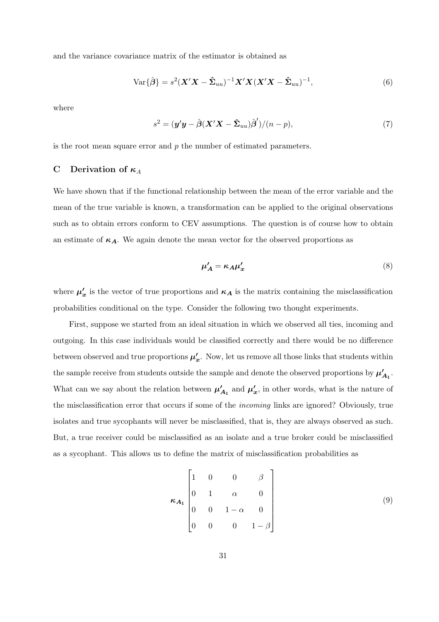and the variance covariance matrix of the estimator is obtained as

$$
\text{Var}\{\hat{\boldsymbol{\beta}}\} = s^2 (\boldsymbol{X}'\boldsymbol{X} - \hat{\boldsymbol{\Sigma}}_{uu})^{-1} \boldsymbol{X}'\boldsymbol{X} (\boldsymbol{X}'\boldsymbol{X} - \hat{\boldsymbol{\Sigma}}_{uu})^{-1},
$$
(6)

where

$$
s^{2} = (\mathbf{y}'\mathbf{y} - \hat{\boldsymbol{\beta}}(\mathbf{X}'\mathbf{X} - \hat{\boldsymbol{\Sigma}}_{uu})\hat{\boldsymbol{\beta}}')/(n-p),
$$
\n(7)

is the root mean square error and  $p$  the number of estimated parameters.

#### C Derivation of  $\kappa_A$

We have shown that if the functional relationship between the mean of the error variable and the mean of the true variable is known, a transformation can be applied to the original observations such as to obtain errors conform to CEV assumptions. The question is of course how to obtain an estimate of  $\kappa_A$ . We again denote the mean vector for the observed proportions as

$$
\mu'_A = \kappa_A \mu'_x \tag{8}
$$

where  $\mu'_{x}$  is the vector of true proportions and  $\kappa_A$  is the matrix containing the misclassification probabilities conditional on the type. Consider the following two thought experiments.

First, suppose we started from an ideal situation in which we observed all ties, incoming and outgoing. In this case individuals would be classified correctly and there would be no difference between observed and true proportions  $\mu'_x$ . Now, let us remove all those links that students within the sample receive from students outside the sample and denote the observed proportions by  $\mu'_{A_1}$ . What can we say about the relation between  $\mu'_{A_1}$  and  $\mu'_{x}$ , in other words, what is the nature of the misclassification error that occurs if some of the incoming links are ignored? Obviously, true isolates and true sycophants will never be misclassified, that is, they are always observed as such. But, a true receiver could be misclassified as an isolate and a true broker could be misclassified as a sycophant. This allows us to define the matrix of misclassification probabilities as

$$
\kappa_{A_1} \begin{bmatrix} 1 & 0 & 0 & \beta \\ 0 & 1 & \alpha & 0 \\ 0 & 0 & 1 - \alpha & 0 \\ 0 & 0 & 0 & 1 - \beta \end{bmatrix}
$$
 (9)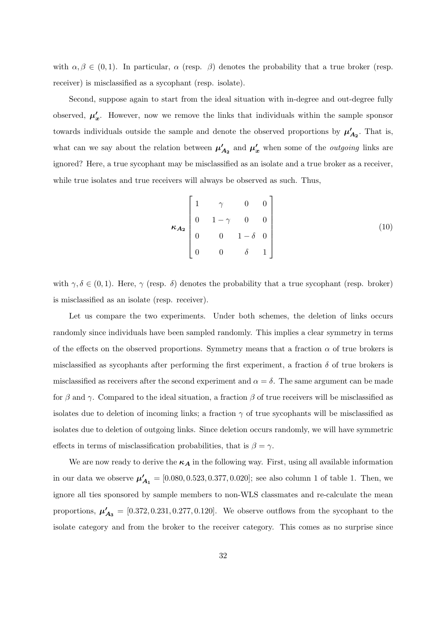with  $\alpha, \beta \in (0, 1)$ . In particular,  $\alpha$  (resp.  $\beta$ ) denotes the probability that a true broker (resp. receiver) is misclassified as a sycophant (resp. isolate).

Second, suppose again to start from the ideal situation with in-degree and out-degree fully observed,  $\mu'_x$ . However, now we remove the links that individuals within the sample sponsor towards individuals outside the sample and denote the observed proportions by  $\mu'_{A_2}$ . That is, what can we say about the relation between  $\mu'_{A_2}$  and  $\mu'_{x}$  when some of the *outgoing* links are ignored? Here, a true sycophant may be misclassified as an isolate and a true broker as a receiver, while true isolates and true receivers will always be observed as such. Thus,

$$
\kappa_{A_2} \begin{bmatrix} 1 & \gamma & 0 & 0 \\ 0 & 1 - \gamma & 0 & 0 \\ 0 & 0 & 1 - \delta & 0 \\ 0 & 0 & \delta & 1 \end{bmatrix} \tag{10}
$$

with  $\gamma, \delta \in (0, 1)$ . Here,  $\gamma$  (resp.  $\delta$ ) denotes the probability that a true sycophant (resp. broker) is misclassified as an isolate (resp. receiver).

Let us compare the two experiments. Under both schemes, the deletion of links occurs randomly since individuals have been sampled randomly. This implies a clear symmetry in terms of the effects on the observed proportions. Symmetry means that a fraction  $\alpha$  of true brokers is misclassified as sycophants after performing the first experiment, a fraction  $\delta$  of true brokers is misclassified as receivers after the second experiment and  $\alpha = \delta$ . The same argument can be made for  $\beta$  and  $\gamma$ . Compared to the ideal situation, a fraction  $\beta$  of true receivers will be misclassified as isolates due to deletion of incoming links; a fraction  $\gamma$  of true sycophants will be misclassified as isolates due to deletion of outgoing links. Since deletion occurs randomly, we will have symmetric effects in terms of misclassification probabilities, that is  $\beta = \gamma$ .

We are now ready to derive the  $\kappa_A$  in the following way. First, using all available information in our data we observe  $\mu'_{A_1} = [0.080, 0.523, 0.377, 0.020]$ ; see also column 1 of table 1. Then, we ignore all ties sponsored by sample members to non-WLS classmates and re-calculate the mean proportions,  $\mu'_{A_3} = [0.372, 0.231, 0.277, 0.120]$ . We observe outflows from the sycophant to the isolate category and from the broker to the receiver category. This comes as no surprise since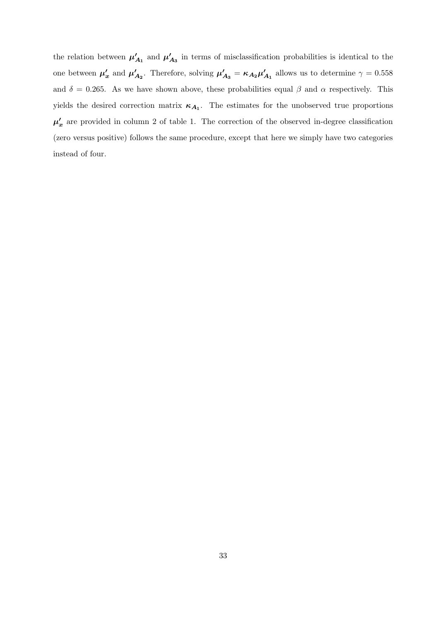the relation between  $\mu'_{A_1}$  and  $\mu'_{A_3}$  in terms of misclassification probabilities is identical to the one between  $\mu'_x$  and  $\mu'_{A_2}$ . Therefore, solving  $\mu'_{A_3} = \kappa_{A_2} \mu'_{A_1}$  allows us to determine  $\gamma = 0.558$ and  $\delta = 0.265$ . As we have shown above, these probabilities equal  $\beta$  and  $\alpha$  respectively. This yields the desired correction matrix  $\kappa_{A_1}$ . The estimates for the unobserved true proportions  $\mu'_{x}$  are provided in column 2 of table 1. The correction of the observed in-degree classification (zero versus positive) follows the same procedure, except that here we simply have two categories instead of four.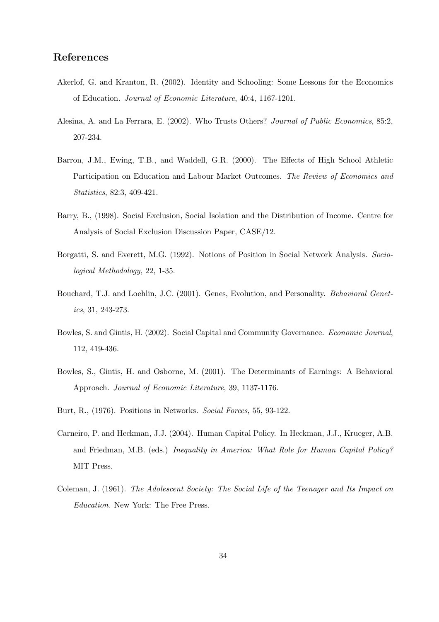#### References

- Akerlof, G. and Kranton, R. (2002). Identity and Schooling: Some Lessons for the Economics of Education. Journal of Economic Literature, 40:4, 1167-1201.
- Alesina, A. and La Ferrara, E. (2002). Who Trusts Others? Journal of Public Economics, 85:2, 207-234.
- Barron, J.M., Ewing, T.B., and Waddell, G.R. (2000). The Effects of High School Athletic Participation on Education and Labour Market Outcomes. The Review of Economics and Statistics, 82:3, 409-421.
- Barry, B., (1998). Social Exclusion, Social Isolation and the Distribution of Income. Centre for Analysis of Social Exclusion Discussion Paper, CASE/12.
- Borgatti, S. and Everett, M.G. (1992). Notions of Position in Social Network Analysis. Sociological Methodology, 22, 1-35.
- Bouchard, T.J. and Loehlin, J.C. (2001). Genes, Evolution, and Personality. Behavioral Genetics, 31, 243-273.
- Bowles, S. and Gintis, H. (2002). Social Capital and Community Governance. Economic Journal, 112, 419-436.
- Bowles, S., Gintis, H. and Osborne, M. (2001). The Determinants of Earnings: A Behavioral Approach. Journal of Economic Literature, 39, 1137-1176.
- Burt, R., (1976). Positions in Networks. Social Forces, 55, 93-122.
- Carneiro, P. and Heckman, J.J. (2004). Human Capital Policy. In Heckman, J.J., Krueger, A.B. and Friedman, M.B. (eds.) *Inequality in America: What Role for Human Capital Policy?* MIT Press.
- Coleman, J. (1961). The Adolescent Society: The Social Life of the Teenager and Its Impact on Education. New York: The Free Press.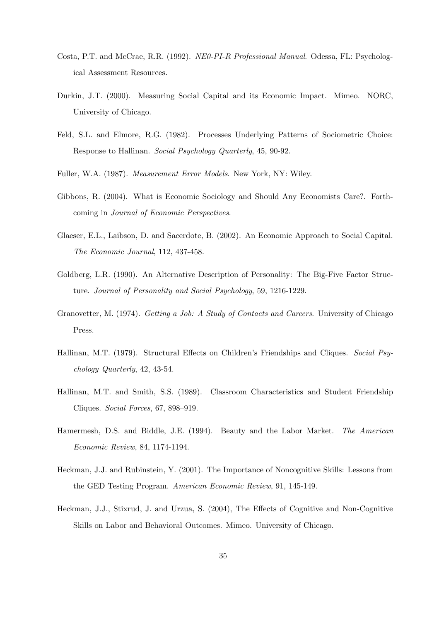- Costa, P.T. and McCrae, R.R. (1992). NE0-PI-R Professional Manual. Odessa, FL: Psychological Assessment Resources.
- Durkin, J.T. (2000). Measuring Social Capital and its Economic Impact. Mimeo. NORC, University of Chicago.
- Feld, S.L. and Elmore, R.G. (1982). Processes Underlying Patterns of Sociometric Choice: Response to Hallinan. Social Psychology Quarterly, 45, 90-92.
- Fuller, W.A. (1987). Measurement Error Models. New York, NY: Wiley.
- Gibbons, R. (2004). What is Economic Sociology and Should Any Economists Care?. Forthcoming in Journal of Economic Perspectives.
- Glaeser, E.L., Laibson, D. and Sacerdote, B. (2002). An Economic Approach to Social Capital. The Economic Journal, 112, 437-458.
- Goldberg, L.R. (1990). An Alternative Description of Personality: The Big-Five Factor Structure. Journal of Personality and Social Psychology, 59, 1216-1229.
- Granovetter, M. (1974). Getting a Job: A Study of Contacts and Careers. University of Chicago Press.
- Hallinan, M.T. (1979). Structural Effects on Children's Friendships and Cliques. Social Psychology Quarterly, 42, 43-54.
- Hallinan, M.T. and Smith, S.S. (1989). Classroom Characteristics and Student Friendship Cliques. Social Forces, 67, 898–919.
- Hamermesh, D.S. and Biddle, J.E. (1994). Beauty and the Labor Market. The American Economic Review, 84, 1174-1194.
- Heckman, J.J. and Rubinstein, Y. (2001). The Importance of Noncognitive Skills: Lessons from the GED Testing Program. American Economic Review, 91, 145-149.
- Heckman, J.J., Stixrud, J. and Urzua, S. (2004), The Effects of Cognitive and Non-Cognitive Skills on Labor and Behavioral Outcomes. Mimeo. University of Chicago.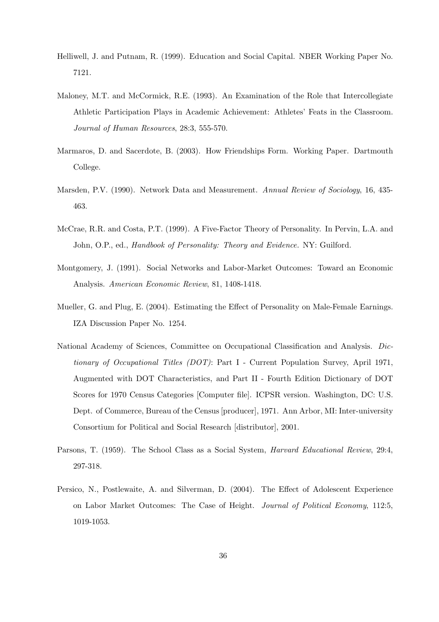- Helliwell, J. and Putnam, R. (1999). Education and Social Capital. NBER Working Paper No. 7121.
- Maloney, M.T. and McCormick, R.E. (1993). An Examination of the Role that Intercollegiate Athletic Participation Plays in Academic Achievement: Athletes' Feats in the Classroom. Journal of Human Resources, 28:3, 555-570.
- Marmaros, D. and Sacerdote, B. (2003). How Friendships Form. Working Paper. Dartmouth College.
- Marsden, P.V. (1990). Network Data and Measurement. Annual Review of Sociology, 16, 435- 463.
- McCrae, R.R. and Costa, P.T. (1999). A Five-Factor Theory of Personality. In Pervin, L.A. and John, O.P., ed., Handbook of Personality: Theory and Evidence. NY: Guilford.
- Montgomery, J. (1991). Social Networks and Labor-Market Outcomes: Toward an Economic Analysis. American Economic Review, 81, 1408-1418.
- Mueller, G. and Plug, E. (2004). Estimating the Effect of Personality on Male-Female Earnings. IZA Discussion Paper No. 1254.
- National Academy of Sciences, Committee on Occupational Classification and Analysis. Dictionary of Occupational Titles (DOT): Part I - Current Population Survey, April 1971, Augmented with DOT Characteristics, and Part II - Fourth Edition Dictionary of DOT Scores for 1970 Census Categories [Computer file]. ICPSR version. Washington, DC: U.S. Dept. of Commerce, Bureau of the Census [producer], 1971. Ann Arbor, MI: Inter-university Consortium for Political and Social Research [distributor], 2001.
- Parsons, T. (1959). The School Class as a Social System, *Harvard Educational Review*, 29:4, 297-318.
- Persico, N., Postlewaite, A. and Silverman, D. (2004). The Effect of Adolescent Experience on Labor Market Outcomes: The Case of Height. Journal of Political Economy, 112:5, 1019-1053.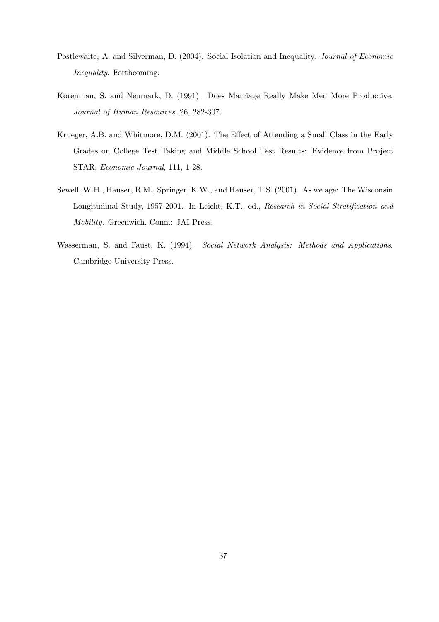- Postlewaite, A. and Silverman, D. (2004). Social Isolation and Inequality. Journal of Economic Inequality. Forthcoming.
- Korenman, S. and Neumark, D. (1991). Does Marriage Really Make Men More Productive. Journal of Human Resources, 26, 282-307.
- Krueger, A.B. and Whitmore, D.M. (2001). The Effect of Attending a Small Class in the Early Grades on College Test Taking and Middle School Test Results: Evidence from Project STAR. Economic Journal, 111, 1-28.
- Sewell, W.H., Hauser, R.M., Springer, K.W., and Hauser, T.S. (2001). As we age: The Wisconsin Longitudinal Study, 1957-2001. In Leicht, K.T., ed., Research in Social Stratification and Mobility. Greenwich, Conn.: JAI Press.
- Wasserman, S. and Faust, K. (1994). Social Network Analysis: Methods and Applications. Cambridge University Press.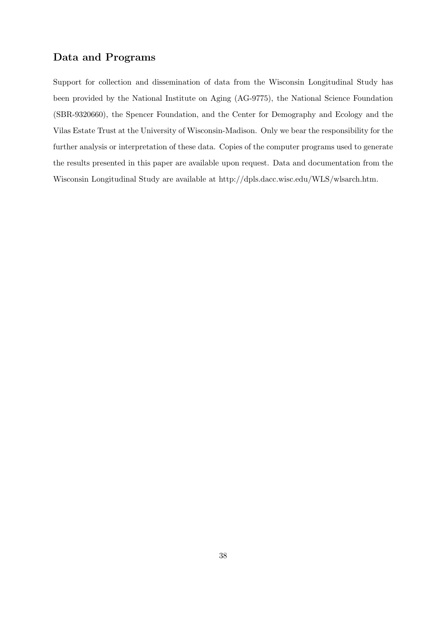## Data and Programs

Support for collection and dissemination of data from the Wisconsin Longitudinal Study has been provided by the National Institute on Aging (AG-9775), the National Science Foundation (SBR-9320660), the Spencer Foundation, and the Center for Demography and Ecology and the Vilas Estate Trust at the University of Wisconsin-Madison. Only we bear the responsibility for the further analysis or interpretation of these data. Copies of the computer programs used to generate the results presented in this paper are available upon request. Data and documentation from the Wisconsin Longitudinal Study are available at http://dpls.dacc.wisc.edu/WLS/wlsarch.htm.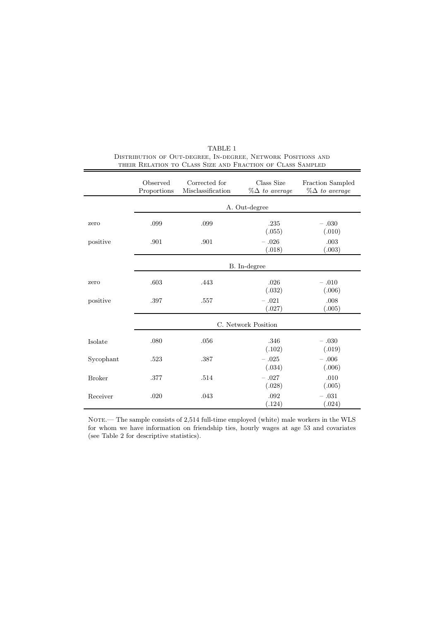|               | Observed<br>Proportions | Corrected for<br>Misclassification | Class Size<br>$\%\Delta$ to average | Fraction Sampled<br>$\%\Delta$ to average |  |  |  |  |
|---------------|-------------------------|------------------------------------|-------------------------------------|-------------------------------------------|--|--|--|--|
|               |                         | A. Out-degree                      |                                     |                                           |  |  |  |  |
| zero          | .099                    | .099                               | .235<br>(.055)                      | $-.030$<br>(.010)                         |  |  |  |  |
| positive      | .901                    | .901                               | $-.026$<br>(.018)                   | .003<br>(.003)                            |  |  |  |  |
|               |                         |                                    | B. In-degree                        |                                           |  |  |  |  |
| zero          | .603                    | .443                               | .026<br>(.032)                      | $-.010$<br>(.006)                         |  |  |  |  |
| positive      | .397                    | .557                               | $-.021$<br>(.027)                   | .008<br>(.005)                            |  |  |  |  |
|               | C. Network Position     |                                    |                                     |                                           |  |  |  |  |
| Isolate       | .080                    | .056                               | .346<br>(.102)                      | $-.030$<br>(.019)                         |  |  |  |  |
| Sycophant     | .523                    | .387                               | $-.025$<br>(.034)                   | $-.006$<br>(.006)                         |  |  |  |  |
| <b>Broker</b> | .377                    | .514                               | $-.027$<br>(.028)                   | .010<br>(.005)                            |  |  |  |  |
| Receiver      | .020                    | .043                               | .092<br>(.124)                      | $-.031$<br>(.024)                         |  |  |  |  |

| TABLE 1                                                      |
|--------------------------------------------------------------|
| DISTRIBUTION OF OUT-DEGREE, IN-DEGREE, NETWORK POSITIONS AND |
| THEIR RELATION TO CLASS SIZE AND FRACTION OF CLASS SAMPLED   |

NOTE.— The sample consists of 2,514 full-time employed (white) male workers in the WLS for whom we have information on friendship ties, hourly wages at age 53 and covariates (see Table 2 for descriptive statistics).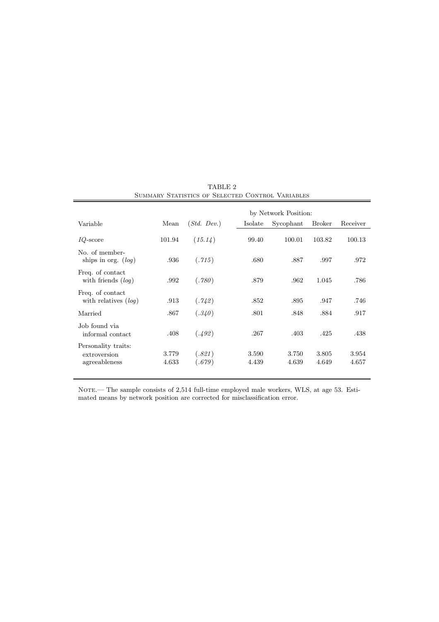| SUMMARY STATISTICS OF SELECTED CONTROL VARIABLES     |                |                  |                |                      |                |                |  |
|------------------------------------------------------|----------------|------------------|----------------|----------------------|----------------|----------------|--|
|                                                      |                |                  |                | by Network Position: |                |                |  |
| Variable                                             | Mean           | (Std. Dev.)      | Isolate        | Sycophant            | <b>Broker</b>  | Receiver       |  |
| $IQ$ -score                                          | 101.94         | (15.14)          | 99.40          | 100.01               | 103.82         | 100.13         |  |
| No. of member-<br>ships in org. $(log)$              | .936           | (.715)           | .680           | .887                 | .997           | .972           |  |
| Freq. of contact<br>with friends $(log)$             | .992           | (.780)           | .879           | .962                 | 1.045          | .786           |  |
| Freq. of contact<br>with relatives $(log)$           | .913           | (.742)           | .852           | .895                 | .947           | .746           |  |
| Married                                              | .867           | (.340)           | .801           | .848                 | .884           | .917           |  |
| Job found via<br>informal contact                    | .408           | (.492)           | .267           | .403                 | .425           | .438           |  |
| Personality traits:<br>extroversion<br>agreeableness | 3.779<br>4.633 | (.821)<br>(.679) | 3.590<br>4.439 | 3.750<br>4.639       | 3.805<br>4.649 | 3.954<br>4.657 |  |

TABLE 2 SUMMARY STATISTICS OF SELECTED CONTROL VARIABLES

NOTE.— The sample consists of 2,514 full-time employed male workers, WLS, at age 53. Estimated means by network position are corrected for misclassification error.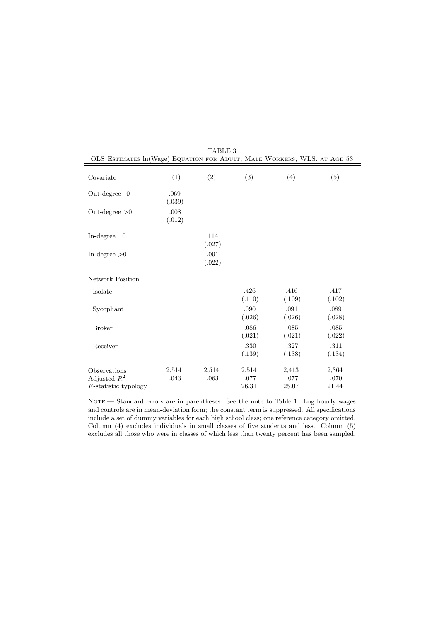| Covariate                                 | (1)               | (2)               | (3)               | (4)               | (5)               |
|-------------------------------------------|-------------------|-------------------|-------------------|-------------------|-------------------|
| Out-degree $0$                            | $-.069$<br>(.039) |                   |                   |                   |                   |
| Out-degree $>0$                           | .008<br>(.012)    |                   |                   |                   |                   |
| In-degree<br>$\overline{0}$               |                   | $-.114$<br>(.027) |                   |                   |                   |
| In-degree $>0$                            |                   | .091<br>(.022)    |                   |                   |                   |
| Network Position                          |                   |                   |                   |                   |                   |
| Isolate                                   |                   |                   | $-.426$<br>(.110) | $-.416$<br>(.109) | $-.417$<br>(.102) |
| Sycophant                                 |                   |                   | $-.090$<br>(.026) | $-.091$<br>(.026) | $-.089$<br>(.028) |
| <b>Broker</b>                             |                   |                   | .086<br>(.021)    | $.085$<br>(.021)  | $.085$<br>(.022)  |
| Receiver                                  |                   |                   | .330<br>(.139)    | .327<br>(.138)    | .311<br>(.134)    |
| Observations                              | 2,514             | 2,514             | 2,514             | 2,413             | 2,364             |
| Adjusted $R^2$<br>$F$ -statistic typology | .043              | .063              | $.077\,$<br>26.31 | .077<br>25.07     | .070<br>21.44     |

TABLE 3 OLS Estimates ln(Wage) Equation for Adult, Male Workers, WLS, at Age 53

NOTE.— Standard errors are in parentheses. See the note to Table 1. Log hourly wages and controls are in mean-deviation form; the constant term is suppressed. All specifications include a set of dummy variables for each high school class; one reference category omitted. Column (4) excludes individuals in small classes of five students and less. Column (5) excludes all those who were in classes of which less than twenty percent has been sampled.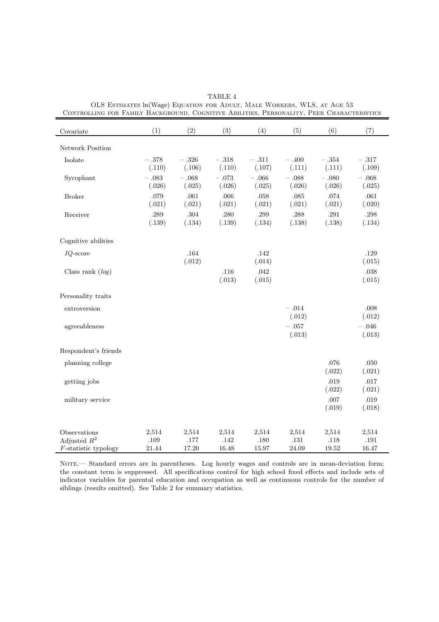| CONTROLLING FOR LAMILI DACKGROUND, |          |          |           |           |           | COGNITIVE ADILITIES, I ERSONALITI, I EER CHARACTERISTICS |          |
|------------------------------------|----------|----------|-----------|-----------|-----------|----------------------------------------------------------|----------|
| Covariate                          | (1)      | (2)      | (3)       | (4)       | (5)       | (6)                                                      | (7)      |
| Network Position                   |          |          |           |           |           |                                                          |          |
| Isolate                            | $-.378$  | $-.326$  | $-\ .318$ | $-\ .311$ | $-.400$   | $-\ .354$                                                | $-$ .317 |
|                                    | (.110)   | (.106)   | (.110)    | (.107)    | (.111)    | (.111)                                                   | (.109)   |
| Sycophant                          | $-.083$  | $-.068$  | $-\ .073$ | $-.066$   | $-.088$   | $-.080$                                                  | $-.068$  |
|                                    | (.026)   | (.025)   | (.026)    | (.025)    | (.026)    | (.026)                                                   | (.025)   |
| <b>Broker</b>                      | $.079\,$ | $.061\,$ | $.066\,$  | $.058\,$  | $.085\,$  | $.074\,$                                                 | $.061\,$ |
|                                    | (.021)   | (.021)   | (.021)    | (.021)    | (.021)    | (.021)                                                   | (.020)   |
| Receiver                           | .289     | .304     | .280      | .299      | .288      | $.291\,$                                                 | $.298\,$ |
|                                    | (.139)   | (.134)   | (.139)    | (.134)    | (.138)    | (.138)                                                   | (.134)   |
| Cognitive abilities                |          |          |           |           |           |                                                          |          |
| $IQ$ -score                        |          | $.164\,$ |           | .142      |           |                                                          | .129     |
|                                    |          | (.012)   |           | (.014)    |           |                                                          | (.015)   |
| Class rank $(log)$                 |          |          | .116      | .042      |           |                                                          | $.038\,$ |
|                                    |          |          | (.013)    | (.015)    |           |                                                          | (.015)   |
| Personality traits                 |          |          |           |           |           |                                                          |          |
| extroversion                       |          |          |           |           | $-\ .014$ |                                                          | .008     |
|                                    |          |          |           |           | (.012)    |                                                          | (.012)   |
| agreeableness                      |          |          |           |           | $-.057$   |                                                          | $-.046$  |
|                                    |          |          |           |           | (.013)    |                                                          | (.013)   |
| Respondent's friends               |          |          |           |           |           |                                                          |          |
| planning college                   |          |          |           |           |           | .076                                                     | .050     |
|                                    |          |          |           |           |           | (.022)                                                   | (.021)   |
| getting jobs                       |          |          |           |           |           | .019                                                     | .017     |
|                                    |          |          |           |           |           | (.022)                                                   | (.021)   |
| military service                   |          |          |           |           |           | .007                                                     | .019     |
|                                    |          |          |           |           |           | (.019)                                                   | (.018)   |
|                                    |          |          |           |           |           |                                                          |          |
| Observations                       | 2,514    | 2,514    | 2,514     | 2,514     | 2,514     | 2,514                                                    | 2,514    |
| Adjusted $R^2$                     | .109     | $.177\,$ | .142      | .180      | $.131\,$  | .118                                                     | $.191\,$ |
| $F$ -statistic typology            | 21.44    | 17.20    | 16.48     | 15.97     | 24.09     | 19.52                                                    | 16.47    |

TABLE 4 OLS Estimates ln(Wage) Equation for Adult, Male Workers, WLS, at Age 53 Controlling for Family Background, Cognitive Abilities, Personality, Peer Characteristics

NOTE.— Standard errors are in parentheses. Log hourly wages and controls are in mean-deviation form; the constant term is suppressed. All specifications control for high school fixed effects and include sets of indicator variables for parental education and occupation as well as continuous controls for the number of siblings (results omitted). See Table 2 for summary statistics.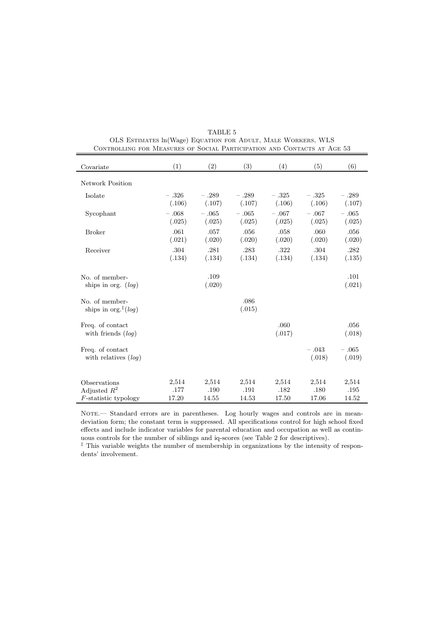| Covariate                                                 | (1)                    | (2)                    | (3)                    | (4)                    | (5)                    | (6)                    |
|-----------------------------------------------------------|------------------------|------------------------|------------------------|------------------------|------------------------|------------------------|
| <b>Network Position</b>                                   |                        |                        |                        |                        |                        |                        |
| Isolate                                                   | $-.326$<br>(.106)      | $-.289$<br>(.107)      | $-.289$<br>(.107)      | $-.325$<br>(.106)      | $-.325$<br>(.106)      | $-.289$<br>(.107)      |
| Sycophant                                                 | $-.068$<br>(.025)      | $-.065$<br>(.025)      | $-.065$<br>(.025)      | $-.067$<br>(.025)      | $-.067$<br>(.025)      | $-.065$<br>(.025)      |
| <b>Broker</b>                                             | .061<br>(.021)         | .057<br>(.020)         | .056<br>(.020)         | .058<br>(.020)         | .060<br>(.020)         | .056<br>(.020)         |
| Receiver                                                  | .304<br>(.134)         | .281<br>(.134)         | .283<br>(.134)         | .322<br>(.134)         | .304<br>(.134)         | .282<br>(.135)         |
| No. of member-<br>ships in org. $(log)$                   |                        | .109<br>(.020)         |                        |                        |                        | .101<br>(.021)         |
| No. of member-<br>ships in org. <sup>‡</sup> (log)        |                        |                        | .086<br>(.015)         |                        |                        |                        |
| Freq. of contact<br>with friends $(log)$                  |                        |                        |                        | .060<br>(.017)         |                        | .056<br>(.018)         |
| Freq. of contact<br>with relatives $(log)$                |                        |                        |                        |                        | $-.043$<br>(.018)      | $-.065$<br>(.019)      |
| Observations<br>Adjusted $R^2$<br>$F$ -statistic typology | 2,514<br>.177<br>17.20 | 2,514<br>.190<br>14.55 | 2,514<br>.191<br>14.53 | 2,514<br>.182<br>17.50 | 2,514<br>.180<br>17.06 | 2,514<br>.195<br>14.52 |

TABLE 5 OLS Estimates ln(Wage) Equation for Adult, Male Workers, WLS Controlling for Measures of Social Participation and Contacts at Age 53

NOTE.— Standard errors are in parentheses. Log hourly wages and controls are in meandeviation form; the constant term is suppressed. All specifications control for high school fixed effects and include indicator variables for parental education and occupation as well as continuous controls for the number of siblings and iq-scores (see Table 2 for descriptives).

‡ This variable weights the number of membership in organizations by the intensity of respondents' involvement.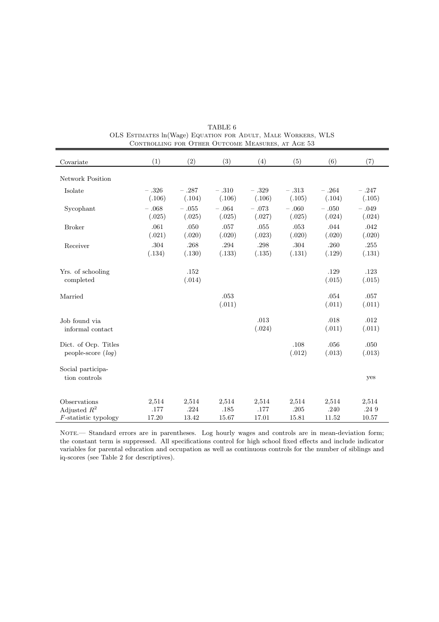| Covariate                                                 | (1)                    | (2)                    | (3)                    | (4)                    | (5)                    | (6)                    | (7)                    |
|-----------------------------------------------------------|------------------------|------------------------|------------------------|------------------------|------------------------|------------------------|------------------------|
| Network Position                                          |                        |                        |                        |                        |                        |                        |                        |
| Isolate                                                   | $-.326$<br>(.106)      | $-.287$<br>(.104)      | $-.310$<br>(.106)      | $-.329$<br>(.106)      | $-.313$<br>(.105)      | $-.264$<br>(.104)      | $-.247$<br>(.105)      |
| Sycophant                                                 | $-.068$<br>(.025)      | $-.055$<br>(.025)      | $-.064$<br>(.025)      | $-.073$<br>(.027)      | $-.060$<br>(.025)      | $-.050$<br>(.024)      | $-.049$<br>(.024)      |
| <b>Broker</b>                                             | .061<br>(.021)         | .050<br>(.020)         | .057<br>(.020)         | .055<br>(.023)         | .053<br>(.020)         | .044<br>(.020)         | .042<br>(.020)         |
| Receiver                                                  | .304<br>(.134)         | .268<br>(.130)         | .294<br>(.133)         | .298<br>(.135)         | .304<br>(.131)         | .260<br>(.129)         | .255<br>(.131)         |
| Yrs. of schooling<br>completed                            |                        | .152<br>(.014)         |                        |                        |                        | .129<br>(.015)         | .123<br>(.015)         |
| Married                                                   |                        |                        | .053<br>(.011)         |                        |                        | .054<br>(.011)         | .057<br>(.011)         |
| Job found via<br>informal contact                         |                        |                        |                        | .013<br>(.024)         |                        | .018<br>(.011)         | .012<br>(.011)         |
| Dict. of Ocp. Titles<br>people-score $(log)$              |                        |                        |                        |                        | .108<br>(.012)         | .056<br>(.013)         | .050<br>(.013)         |
| Social participa-<br>tion controls                        |                        |                        |                        |                        |                        |                        | yes                    |
| Observations<br>Adjusted $R^2$<br>$F$ -statistic typology | 2,514<br>.177<br>17.20 | 2,514<br>.224<br>13.42 | 2,514<br>.185<br>15.67 | 2,514<br>.177<br>17.01 | 2,514<br>.205<br>15.81 | 2,514<br>.240<br>11.52 | 2,514<br>.249<br>10.57 |

TABLE 6 OLS Estimates ln(Wage) Equation for Adult, Male Workers, WLS CONTROLLING FOR OTHER OUTCOME MEASURES, AT AGE 53

NOTE.— Standard errors are in parentheses. Log hourly wages and controls are in mean-deviation form; the constant term is suppressed. All specifications control for high school fixed effects and include indicator variables for parental education and occupation as well as continuous controls for the number of siblings and iq-scores (see Table 2 for descriptives).